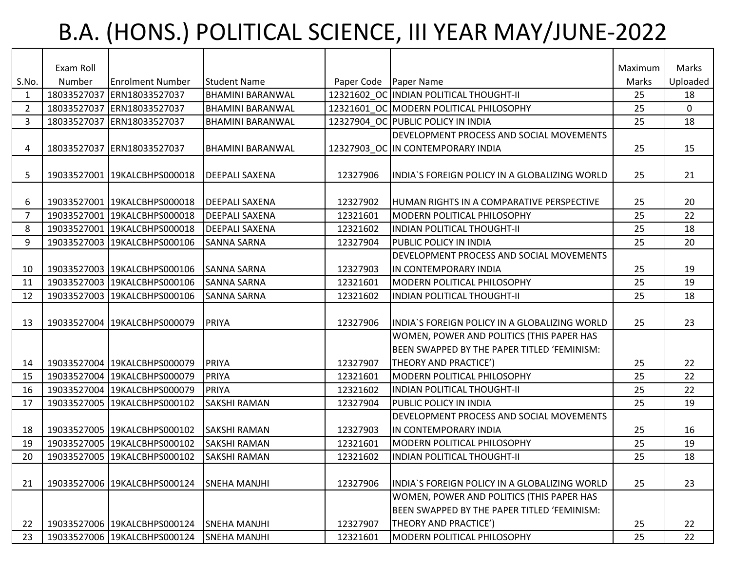## B.A. (HONS.) POLITICAL SCIENCE, III YEAR MAY/JUNE-2022

|                | Exam Roll |                              |                         |                         |                                               | Maximum | Marks          |
|----------------|-----------|------------------------------|-------------------------|-------------------------|-----------------------------------------------|---------|----------------|
| S.No.          | Number    | <b>Enrolment Number</b>      | <b>Student Name</b>     | Paper Code   Paper Name |                                               | Marks   | Uploaded       |
| 1              |           | 18033527037 ERN18033527037   | <b>BHAMINI BARANWAL</b> |                         | 12321602 OC INDIAN POLITICAL THOUGHT-II       | 25      | 18             |
| $\overline{2}$ |           | 18033527037 ERN18033527037   | <b>BHAMINI BARANWAL</b> |                         | 12321601 OC MODERN POLITICAL PHILOSOPHY       | 25      | $\overline{0}$ |
| 3              |           | 18033527037 ERN18033527037   | <b>BHAMINI BARANWAL</b> |                         | 12327904 OC PUBLIC POLICY IN INDIA            | 25      | 18             |
|                |           |                              |                         |                         | DEVELOPMENT PROCESS AND SOCIAL MOVEMENTS      |         |                |
| 4              |           | 18033527037 ERN18033527037   | <b>BHAMINI BARANWAL</b> |                         | 12327903_OC IN CONTEMPORARY INDIA             | 25      | 15             |
|                |           |                              |                         |                         |                                               |         |                |
| 5              |           | 19033527001 19KALCBHPS000018 | <b>DEEPALI SAXENA</b>   | 12327906                | INDIA'S FOREIGN POLICY IN A GLOBALIZING WORLD | 25      | 21             |
|                |           |                              |                         |                         |                                               |         |                |
| 6              |           | 19033527001 19KALCBHPS000018 | <b>DEEPALI SAXENA</b>   | 12327902                | HUMAN RIGHTS IN A COMPARATIVE PERSPECTIVE     | 25      | 20             |
| 7              |           | 19033527001 19KALCBHPS000018 | <b>DEEPALI SAXENA</b>   | 12321601                | MODERN POLITICAL PHILOSOPHY                   | 25      | 22             |
| 8              |           | 19033527001 19KALCBHPS000018 | <b>DEEPALI SAXENA</b>   | 12321602                | <b>INDIAN POLITICAL THOUGHT-II</b>            | 25      | 18             |
| 9              |           | 19033527003 19KALCBHPS000106 | <b>SANNA SARNA</b>      | 12327904                | <b>PUBLIC POLICY IN INDIA</b>                 | 25      | 20             |
|                |           |                              |                         |                         | DEVELOPMENT PROCESS AND SOCIAL MOVEMENTS      |         |                |
| 10             |           | 19033527003 19KALCBHPS000106 | <b>SANNA SARNA</b>      | 12327903                | IN CONTEMPORARY INDIA                         | 25      | 19             |
| 11             |           | 19033527003 19KALCBHPS000106 | <b>SANNA SARNA</b>      | 12321601                | <b>MODERN POLITICAL PHILOSOPHY</b>            | 25      | 19             |
| 12             |           | 19033527003 19KALCBHPS000106 | <b>SANNA SARNA</b>      | 12321602                | <b>INDIAN POLITICAL THOUGHT-II</b>            | 25      | 18             |
|                |           |                              |                         |                         |                                               |         |                |
| 13             |           | 19033527004 19KALCBHPS000079 | PRIYA                   | 12327906                | INDIA`S FOREIGN POLICY IN A GLOBALIZING WORLD | 25      | 23             |
|                |           |                              |                         |                         | WOMEN, POWER AND POLITICS (THIS PAPER HAS     |         |                |
|                |           |                              |                         |                         | BEEN SWAPPED BY THE PAPER TITLED 'FEMINISM:   |         |                |
| 14             |           | 19033527004 19KALCBHPS000079 | <b>PRIYA</b>            | 12327907                | <b>THEORY AND PRACTICE')</b>                  | 25      | 22             |
| 15             |           | 19033527004 19KALCBHPS000079 | PRIYA                   | 12321601                | <b>IMODERN POLITICAL PHILOSOPHY</b>           | 25      | 22             |
| 16             |           | 19033527004 19KALCBHPS000079 | PRIYA                   | 12321602                | INDIAN POLITICAL THOUGHT-II                   | 25      | 22             |
| 17             |           | 19033527005 19KALCBHPS000102 | <b>SAKSHI RAMAN</b>     | 12327904                | <b>PUBLIC POLICY IN INDIA</b>                 | 25      | 19             |
|                |           |                              |                         |                         | DEVELOPMENT PROCESS AND SOCIAL MOVEMENTS      |         |                |
| 18             |           | 19033527005 19KALCBHPS000102 | <b>SAKSHI RAMAN</b>     | 12327903                | IN CONTEMPORARY INDIA                         | 25      | 16             |
| 19             |           | 19033527005 19KALCBHPS000102 | <b>SAKSHI RAMAN</b>     | 12321601                | <b>MODERN POLITICAL PHILOSOPHY</b>            | 25      | 19             |
| 20             |           | 19033527005 19KALCBHPS000102 | <b>SAKSHI RAMAN</b>     | 12321602                | <b>INDIAN POLITICAL THOUGHT-II</b>            | 25      | 18             |
|                |           |                              |                         |                         |                                               |         |                |
| 21             |           | 19033527006 19KALCBHPS000124 | <b>SNEHA MANJHI</b>     | 12327906                | INDIA'S FOREIGN POLICY IN A GLOBALIZING WORLD | 25      | 23             |
|                |           |                              |                         |                         | WOMEN, POWER AND POLITICS (THIS PAPER HAS     |         |                |
|                |           |                              |                         |                         | BEEN SWAPPED BY THE PAPER TITLED 'FEMINISM:   |         |                |
| 22             |           | 19033527006 19KALCBHPS000124 | <b>SNEHA MANJHI</b>     | 12327907                | THEORY AND PRACTICE')                         | 25      | 22             |
| 23             |           | 19033527006 19KALCBHPS000124 | <b>SNEHA MANJHI</b>     | 12321601                | MODERN POLITICAL PHILOSOPHY                   | 25      | 22             |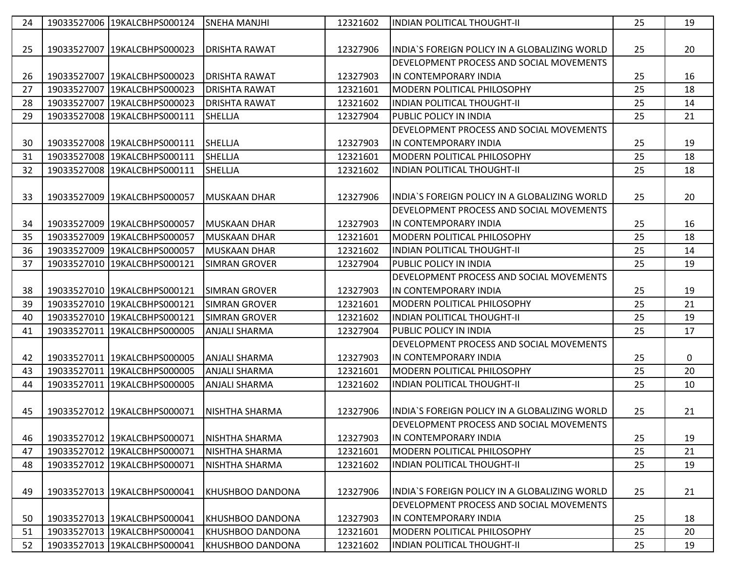| 24 | 19033527006 19KALCBHPS000124   | <b>SNEHA MANJHI</b>     | 12321602 | INDIAN POLITICAL THOUGHT-II                    | 25 | 19 |
|----|--------------------------------|-------------------------|----------|------------------------------------------------|----|----|
|    |                                |                         |          |                                                |    |    |
| 25 | 19033527007   19KALCBHPS000023 | <b>DRISHTA RAWAT</b>    | 12327906 | INDIA`S FOREIGN POLICY IN A GLOBALIZING WORLD  | 25 | 20 |
|    |                                |                         |          | DEVELOPMENT PROCESS AND SOCIAL MOVEMENTS       |    |    |
| 26 | 19033527007   19KALCBHPS000023 | <b>DRISHTA RAWAT</b>    | 12327903 | IN CONTEMPORARY INDIA                          | 25 | 16 |
| 27 | 19033527007 19KALCBHPS000023   | <b>DRISHTA RAWAT</b>    | 12321601 | MODERN POLITICAL PHILOSOPHY                    | 25 | 18 |
| 28 | 19033527007 19KALCBHPS000023   | <b>DRISHTA RAWAT</b>    | 12321602 | <b>INDIAN POLITICAL THOUGHT-II</b>             | 25 | 14 |
| 29 | 19033527008 19KALCBHPS000111   | <b>SHELLJA</b>          | 12327904 | <b>PUBLIC POLICY IN INDIA</b>                  | 25 | 21 |
|    |                                |                         |          | DEVELOPMENT PROCESS AND SOCIAL MOVEMENTS       |    |    |
| 30 | 19033527008 19KALCBHPS000111   | <b>SHELLJA</b>          | 12327903 | IN CONTEMPORARY INDIA                          | 25 | 19 |
| 31 | 19033527008 19KALCBHPS000111   | <b>SHELLJA</b>          | 12321601 | <b>IMODERN POLITICAL PHILOSOPHY</b>            | 25 | 18 |
| 32 | 19033527008 19KALCBHPS000111   | SHELLJA                 | 12321602 | <b>INDIAN POLITICAL THOUGHT-II</b>             | 25 | 18 |
|    |                                |                         |          |                                                |    |    |
| 33 | 19033527009 19KALCBHPS000057   | <b>MUSKAAN DHAR</b>     | 12327906 | lINDIA`S FOREIGN POLICY IN A GLOBALIZING WORLD | 25 | 20 |
|    |                                |                         |          | DEVELOPMENT PROCESS AND SOCIAL MOVEMENTS       |    |    |
| 34 | 19033527009 19KALCBHPS000057   | <b>MUSKAAN DHAR</b>     | 12327903 | lin contemporary India                         | 25 | 16 |
| 35 | 19033527009 19KALCBHPS000057   | <b>MUSKAAN DHAR</b>     | 12321601 | <b>IMODERN POLITICAL PHILOSOPHY</b>            | 25 | 18 |
| 36 | 19033527009 19KALCBHPS000057   | <b>MUSKAAN DHAR</b>     | 12321602 | INDIAN POLITICAL THOUGHT-II                    | 25 | 14 |
| 37 | 19033527010 19KALCBHPS000121   | <b>SIMRAN GROVER</b>    | 12327904 | PUBLIC POLICY IN INDIA                         | 25 | 19 |
|    |                                |                         |          | DEVELOPMENT PROCESS AND SOCIAL MOVEMENTS       |    |    |
| 38 | 19033527010 19KALCBHPS000121   | <b>SIMRAN GROVER</b>    | 12327903 | lin contemporary India                         | 25 | 19 |
| 39 | 19033527010 19KALCBHPS000121   | <b>SIMRAN GROVER</b>    | 12321601 | <b>IMODERN POLITICAL PHILOSOPHY</b>            | 25 | 21 |
| 40 | 19033527010 19KALCBHPS000121   | <b>SIMRAN GROVER</b>    | 12321602 | IINDIAN POLITICAL THOUGHT-II                   | 25 | 19 |
| 41 | 19033527011   19KALCBHPS000005 | ANJALI SHARMA           | 12327904 | PUBLIC POLICY IN INDIA                         | 25 | 17 |
|    |                                |                         |          | DEVELOPMENT PROCESS AND SOCIAL MOVEMENTS       |    |    |
| 42 | 19033527011 19KALCBHPS000005   | <b>ANJALI SHARMA</b>    | 12327903 | IN CONTEMPORARY INDIA                          | 25 | 0  |
| 43 | 19033527011 19KALCBHPS000005   | <b>ANJALI SHARMA</b>    | 12321601 | MODERN POLITICAL PHILOSOPHY                    | 25 | 20 |
| 44 | 19033527011 19KALCBHPS000005   | <b>ANJALI SHARMA</b>    | 12321602 | <b>INDIAN POLITICAL THOUGHT-II</b>             | 25 | 10 |
|    |                                |                         |          |                                                |    |    |
| 45 | 19033527012 19KALCBHPS000071   | <b>NISHTHA SHARMA</b>   | 12327906 | INDIA`S FOREIGN POLICY IN A GLOBALIZING WORLD  | 25 | 21 |
|    |                                |                         |          | DEVELOPMENT PROCESS AND SOCIAL MOVEMENTS       |    |    |
| 46 | 19033527012 19KALCBHPS000071   | <b>NISHTHA SHARMA</b>   | 12327903 | IN CONTEMPORARY INDIA                          | 25 | 19 |
| 47 | 19033527012 19KALCBHPS000071   | NISHTHA SHARMA          | 12321601 | MODERN POLITICAL PHILOSOPHY                    | 25 | 21 |
| 48 | 19033527012 19KALCBHPS000071   | NISHTHA SHARMA          | 12321602 | INDIAN POLITICAL THOUGHT-II                    | 25 | 19 |
|    |                                |                         |          |                                                |    |    |
| 49 | 19033527013   19KALCBHPS000041 | KHUSHBOO DANDONA        | 12327906 | INDIA'S FOREIGN POLICY IN A GLOBALIZING WORLD  | 25 | 21 |
|    |                                |                         |          | DEVELOPMENT PROCESS AND SOCIAL MOVEMENTS       |    |    |
| 50 | 19033527013 19KALCBHPS000041   | <b>KHUSHBOO DANDONA</b> | 12327903 | IN CONTEMPORARY INDIA                          | 25 | 18 |
| 51 | 19033527013 19KALCBHPS000041   | <b>KHUSHBOO DANDONA</b> | 12321601 | MODERN POLITICAL PHILOSOPHY                    | 25 | 20 |
| 52 | 19033527013 19KALCBHPS000041   | <b>KHUSHBOO DANDONA</b> | 12321602 | INDIAN POLITICAL THOUGHT-II                    | 25 | 19 |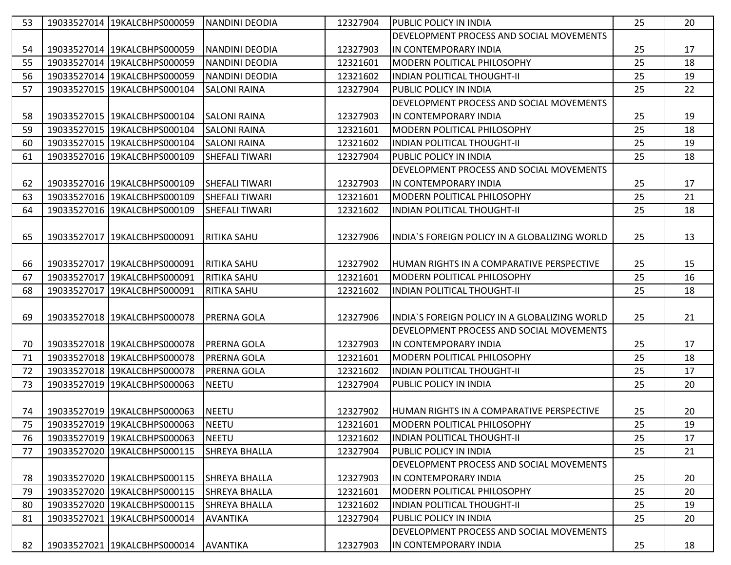| 53 | 19033527014 19KALCBHPS000059   | <b>NANDINI DEODIA</b> | 12327904 | <b>PUBLIC POLICY IN INDIA</b>                    | 25 | 20 |
|----|--------------------------------|-----------------------|----------|--------------------------------------------------|----|----|
|    |                                |                       |          | DEVELOPMENT PROCESS AND SOCIAL MOVEMENTS         |    |    |
| 54 | 19033527014 19KALCBHPS000059   | NANDINI DEODIA        | 12327903 | IIN CONTEMPORARY INDIA                           | 25 | 17 |
| 55 | 19033527014 19KALCBHPS000059   | NANDINI DEODIA        | 12321601 | <b>IMODERN POLITICAL PHILOSOPHY</b>              | 25 | 18 |
| 56 | 19033527014 19KALCBHPS000059   | <b>NANDINI DEODIA</b> | 12321602 | lINDIAN POLITICAL THOUGHT-II                     | 25 | 19 |
| 57 | 19033527015 19KALCBHPS000104   | <b>SALONI RAINA</b>   | 12327904 | <b>PUBLIC POLICY IN INDIA</b>                    | 25 | 22 |
|    |                                |                       |          | DEVELOPMENT PROCESS AND SOCIAL MOVEMENTS         |    |    |
| 58 | 19033527015 19KALCBHPS000104   | <b>SALONI RAINA</b>   | 12327903 | IIN CONTEMPORARY INDIA                           | 25 | 19 |
| 59 | 19033527015 19KALCBHPS000104   | <b>SALONI RAINA</b>   | 12321601 | IMODERN POLITICAL PHILOSOPHY                     | 25 | 18 |
| 60 | 19033527015 19KALCBHPS000104   | <b>SALONI RAINA</b>   | 12321602 | INDIAN POLITICAL THOUGHT-II                      | 25 | 19 |
| 61 | 19033527016 19KALCBHPS000109   | <b>SHEFALI TIWARI</b> | 12327904 | <b>PUBLIC POLICY IN INDIA</b>                    | 25 | 18 |
|    |                                |                       |          | DEVELOPMENT PROCESS AND SOCIAL MOVEMENTS         |    |    |
| 62 | 19033527016 19KALCBHPS000109   | <b>SHEFALI TIWARI</b> | 12327903 | IN CONTEMPORARY INDIA                            | 25 | 17 |
| 63 | 19033527016 19KALCBHPS000109   | <b>SHEFALI TIWARI</b> | 12321601 | IMODERN POLITICAL PHILOSOPHY                     | 25 | 21 |
| 64 | 19033527016 19KALCBHPS000109   | <b>SHEFALI TIWARI</b> | 12321602 | <b>INDIAN POLITICAL THOUGHT-II</b>               | 25 | 18 |
|    |                                |                       |          |                                                  |    |    |
| 65 | 19033527017 19KALCBHPS000091   | <b>RITIKA SAHU</b>    | 12327906 | INDIA'S FOREIGN POLICY IN A GLOBALIZING WORLD    | 25 | 13 |
|    |                                |                       |          |                                                  |    |    |
| 66 | 19033527017 19KALCBHPS000091   | <b>RITIKA SAHU</b>    | 12327902 | IHUMAN RIGHTS IN A COMPARATIVE PERSPECTIVE       | 25 | 15 |
| 67 | 19033527017 19KALCBHPS000091   | <b>RITIKA SAHU</b>    | 12321601 | <b>IMODERN POLITICAL PHILOSOPHY</b>              | 25 | 16 |
| 68 | 19033527017 19KALCBHPS000091   | RITIKA SAHU           | 12321602 | IINDIAN POLITICAL THOUGHT-II                     | 25 | 18 |
|    |                                |                       |          |                                                  |    |    |
| 69 | 19033527018   19KALCBHPS000078 | IPRERNA GOLA          | 12327906 | IINDIA'S FOREIGN POLICY IN A GLOBALIZING WORLD   | 25 | 21 |
|    |                                |                       |          | DEVELOPMENT PROCESS AND SOCIAL MOVEMENTS         |    |    |
| 70 | 19033527018 19KALCBHPS000078   | <b>PRERNA GOLA</b>    | 12327903 | IIN CONTEMPORARY INDIA                           | 25 | 17 |
| 71 | 19033527018 19KALCBHPS000078   | <b>PRERNA GOLA</b>    | 12321601 | IMODERN POLITICAL PHILOSOPHY                     | 25 | 18 |
| 72 | 19033527018 19KALCBHPS000078   | <b>PRERNA GOLA</b>    | 12321602 | IINDIAN POLITICAL THOUGHT-II                     | 25 | 17 |
| 73 | 19033527019 19KALCBHPS000063   | <b>NEETU</b>          | 12327904 | <b>PUBLIC POLICY IN INDIA</b>                    | 25 | 20 |
|    |                                |                       |          |                                                  |    |    |
| 74 | 19033527019 19KALCBHPS000063   | <b>NEETU</b>          | 12327902 | <b>HUMAN RIGHTS IN A COMPARATIVE PERSPECTIVE</b> | 25 | 20 |
| 75 | 19033527019 19KALCBHPS000063   | <b>NEETU</b>          | 12321601 | MODERN POLITICAL PHILOSOPHY                      | 25 | 19 |
| 76 | 19033527019 19KALCBHPS000063   | <b>NEETU</b>          | 12321602 | IINDIAN POLITICAL THOUGHT-II                     | 25 | 17 |
| 77 | 19033527020 19KALCBHPS000115   | <b>SHREYA BHALLA</b>  | 12327904 | PUBLIC POLICY IN INDIA                           | 25 | 21 |
|    |                                |                       |          | DEVELOPMENT PROCESS AND SOCIAL MOVEMENTS         |    |    |
| 78 | 19033527020 19KALCBHPS000115   | <b>SHREYA BHALLA</b>  | 12327903 | IN CONTEMPORARY INDIA                            | 25 | 20 |
| 79 | 19033527020 19KALCBHPS000115   | <b>SHREYA BHALLA</b>  | 12321601 | MODERN POLITICAL PHILOSOPHY                      | 25 | 20 |
| 80 | 19033527020 19KALCBHPS000115   | <b>SHREYA BHALLA</b>  | 12321602 | IINDIAN POLITICAL THOUGHT-II                     | 25 | 19 |
| 81 | 19033527021 19KALCBHPS000014   | <b>AVANTIKA</b>       | 12327904 | PUBLIC POLICY IN INDIA                           | 25 | 20 |
|    |                                |                       |          | DEVELOPMENT PROCESS AND SOCIAL MOVEMENTS         |    |    |
| 82 | 19033527021 19KALCBHPS000014   | <b>AVANTIKA</b>       | 12327903 | IIN CONTEMPORARY INDIA                           | 25 | 18 |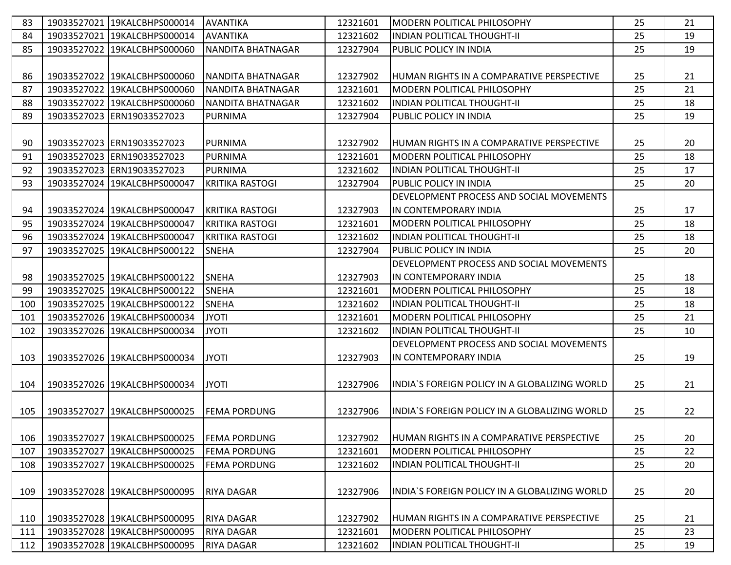| 83  | 19033527021 19KALCBHPS000014 | <b>AVANTIKA</b>          | 12321601 | MODERN POLITICAL PHILOSOPHY                    | 25 | 21 |
|-----|------------------------------|--------------------------|----------|------------------------------------------------|----|----|
| 84  | 19033527021 19KALCBHPS000014 | <b>AVANTIKA</b>          | 12321602 | IINDIAN POLITICAL THOUGHT-II                   | 25 | 19 |
| 85  | 19033527022 19KALCBHPS000060 | <b>NANDITA BHATNAGAR</b> | 12327904 | PUBLIC POLICY IN INDIA                         | 25 | 19 |
|     |                              |                          |          |                                                |    |    |
| 86  | 19033527022 19KALCBHPS000060 | INANDITA BHATNAGAR       | 12327902 | IHUMAN RIGHTS IN A COMPARATIVE PERSPECTIVE     | 25 | 21 |
| 87  | 19033527022 19KALCBHPS000060 | NANDITA BHATNAGAR        | 12321601 | <b>MODERN POLITICAL PHILOSOPHY</b>             | 25 | 21 |
| 88  | 19033527022 19KALCBHPS000060 | <b>NANDITA BHATNAGAR</b> | 12321602 | IINDIAN POLITICAL THOUGHT-II                   | 25 | 18 |
| 89  | 19033527023 ERN19033527023   | <b>PURNIMA</b>           | 12327904 | IPUBLIC POLICY IN INDIA                        | 25 | 19 |
|     |                              |                          |          |                                                |    |    |
| 90  | 19033527023 ERN19033527023   | PURNIMA                  | 12327902 | IHUMAN RIGHTS IN A COMPARATIVE PERSPECTIVE     | 25 | 20 |
| 91  | 19033527023 ERN19033527023   | <b>PURNIMA</b>           | 12321601 | MODERN POLITICAL PHILOSOPHY                    | 25 | 18 |
| 92  | 19033527023 ERN19033527023   | <b>PURNIMA</b>           | 12321602 | <b>INDIAN POLITICAL THOUGHT-II</b>             | 25 | 17 |
| 93  | 19033527024 19KALCBHPS000047 | <b>KRITIKA RASTOGI</b>   | 12327904 | <b>PUBLIC POLICY IN INDIA</b>                  | 25 | 20 |
|     |                              |                          |          | DEVELOPMENT PROCESS AND SOCIAL MOVEMENTS       |    |    |
| 94  | 19033527024 19KALCBHPS000047 | <b>KRITIKA RASTOGI</b>   | 12327903 | IIN CONTEMPORARY INDIA                         | 25 | 17 |
| 95  | 19033527024 19KALCBHPS000047 | <b>KRITIKA RASTOGI</b>   | 12321601 | MODERN POLITICAL PHILOSOPHY                    | 25 | 18 |
| 96  | 19033527024 19KALCBHPS000047 | <b>KRITIKA RASTOGI</b>   | 12321602 | IINDIAN POLITICAL THOUGHT-II                   | 25 | 18 |
| 97  | 19033527025 19KALCBHPS000122 | <b>SNEHA</b>             | 12327904 | <b>PUBLIC POLICY IN INDIA</b>                  | 25 | 20 |
|     |                              |                          |          | DEVELOPMENT PROCESS AND SOCIAL MOVEMENTS       |    |    |
| 98  | 19033527025 19KALCBHPS000122 | <b>SNEHA</b>             | 12327903 | IN CONTEMPORARY INDIA                          | 25 | 18 |
| 99  | 19033527025 19KALCBHPS000122 | <b>SNEHA</b>             | 12321601 | <b>IMODERN POLITICAL PHILOSOPHY</b>            | 25 | 18 |
| 100 | 19033527025 19KALCBHPS000122 | <b>SNEHA</b>             | 12321602 | <b>INDIAN POLITICAL THOUGHT-II</b>             | 25 | 18 |
| 101 | 19033527026 19KALCBHPS000034 | <b>JYOTI</b>             | 12321601 | IMODERN POLITICAL PHILOSOPHY                   | 25 | 21 |
| 102 | 19033527026 19KALCBHPS000034 | <b>JYOTI</b>             | 12321602 | <b>INDIAN POLITICAL THOUGHT-II</b>             | 25 | 10 |
|     |                              |                          |          | DEVELOPMENT PROCESS AND SOCIAL MOVEMENTS       |    |    |
| 103 | 19033527026 19KALCBHPS000034 | <b>JYOTI</b>             | 12327903 | IN CONTEMPORARY INDIA                          | 25 | 19 |
|     |                              |                          |          |                                                |    |    |
| 104 | 19033527026 19KALCBHPS000034 | <b>JYOTI</b>             | 12327906 | INDIA'S FOREIGN POLICY IN A GLOBALIZING WORLD  | 25 | 21 |
|     |                              |                          |          |                                                |    |    |
| 105 | 19033527027 19KALCBHPS000025 | <b>FEMA PORDUNG</b>      | 12327906 | IINDIA`S FOREIGN POLICY IN A GLOBALIZING WORLD | 25 | 22 |
|     |                              |                          |          |                                                |    |    |
| 106 | 19033527027 19KALCBHPS000025 | <b>FEMA PORDUNG</b>      | 12327902 | HUMAN RIGHTS IN A COMPARATIVE PERSPECTIVE      | 25 | 20 |
| 107 | 19033527027 19KALCBHPS000025 | <b>FEMA PORDUNG</b>      | 12321601 | MODERN POLITICAL PHILOSOPHY                    | 25 | 22 |
| 108 | 19033527027 19KALCBHPS000025 | <b>FEMA PORDUNG</b>      | 12321602 | <b>INDIAN POLITICAL THOUGHT-II</b>             | 25 | 20 |
|     |                              |                          |          |                                                |    |    |
| 109 | 19033527028 19KALCBHPS000095 | <b>RIYA DAGAR</b>        | 12327906 | INDIA`S FOREIGN POLICY IN A GLOBALIZING WORLD  | 25 | 20 |
|     |                              |                          |          |                                                |    |    |
| 110 | 19033527028 19KALCBHPS000095 | <b>RIYA DAGAR</b>        | 12327902 | HUMAN RIGHTS IN A COMPARATIVE PERSPECTIVE      | 25 | 21 |
| 111 | 19033527028 19KALCBHPS000095 | <b>RIYA DAGAR</b>        | 12321601 | MODERN POLITICAL PHILOSOPHY                    | 25 | 23 |
| 112 | 19033527028 19KALCBHPS000095 | <b>RIYA DAGAR</b>        | 12321602 | IINDIAN POLITICAL THOUGHT-II                   | 25 | 19 |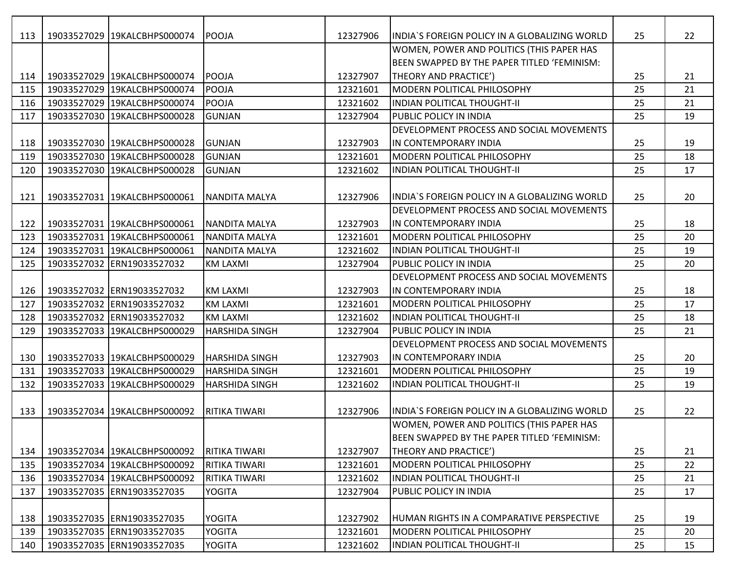| 113 | 19033527029 19KALCBHPS000074 | POOJA                 | 12327906 | IINDIA`S FOREIGN POLICY IN A GLOBALIZING WORLD | 25 | 22 |
|-----|------------------------------|-----------------------|----------|------------------------------------------------|----|----|
|     |                              |                       |          | WOMEN, POWER AND POLITICS (THIS PAPER HAS      |    |    |
|     |                              |                       |          | BEEN SWAPPED BY THE PAPER TITLED 'FEMINISM:    |    |    |
| 114 | 19033527029 19KALCBHPS000074 | <b>POOJA</b>          | 12327907 | THEORY AND PRACTICE')                          | 25 | 21 |
| 115 | 19033527029 19KALCBHPS000074 | POOJA                 | 12321601 | <b>MODERN POLITICAL PHILOSOPHY</b>             | 25 | 21 |
| 116 | 19033527029 19KALCBHPS000074 | POOJA                 | 12321602 | <b>INDIAN POLITICAL THOUGHT-II</b>             | 25 | 21 |
| 117 | 19033527030 19KALCBHPS000028 | <b>GUNJAN</b>         | 12327904 | <b>PUBLIC POLICY IN INDIA</b>                  | 25 | 19 |
|     |                              |                       |          | DEVELOPMENT PROCESS AND SOCIAL MOVEMENTS       |    |    |
| 118 | 19033527030 19KALCBHPS000028 | GUNJAN                | 12327903 | IN CONTEMPORARY INDIA                          | 25 | 19 |
| 119 | 19033527030 19KALCBHPS000028 | <b>GUNJAN</b>         | 12321601 | MODERN POLITICAL PHILOSOPHY                    | 25 | 18 |
| 120 | 19033527030 19KALCBHPS000028 | <b>GUNJAN</b>         | 12321602 | <b>INDIAN POLITICAL THOUGHT-II</b>             | 25 | 17 |
|     |                              |                       |          |                                                |    |    |
| 121 | 19033527031 19KALCBHPS000061 | NANDITA MALYA         | 12327906 | INDIA`S FOREIGN POLICY IN A GLOBALIZING WORLD  | 25 | 20 |
|     |                              |                       |          | DEVELOPMENT PROCESS AND SOCIAL MOVEMENTS       |    |    |
| 122 | 19033527031 19KALCBHPS000061 | <b>NANDITA MALYA</b>  | 12327903 | lin contemporary India                         | 25 | 18 |
| 123 | 19033527031 19KALCBHPS000061 | <b>NANDITA MALYA</b>  | 12321601 | <b>MODERN POLITICAL PHILOSOPHY</b>             | 25 | 20 |
| 124 | 19033527031 19KALCBHPS000061 | NANDITA MALYA         | 12321602 | IINDIAN POLITICAL THOUGHT-II                   | 25 | 19 |
| 125 | 19033527032 ERN19033527032   | <b>KM LAXMI</b>       | 12327904 | <b>PUBLIC POLICY IN INDIA</b>                  | 25 | 20 |
|     |                              |                       |          | DEVELOPMENT PROCESS AND SOCIAL MOVEMENTS       |    |    |
| 126 | 19033527032 ERN19033527032   | <b>KM LAXMI</b>       | 12327903 | IN CONTEMPORARY INDIA                          | 25 | 18 |
| 127 | 19033527032 ERN19033527032   | <b>KM LAXMI</b>       | 12321601 | IMODERN POLITICAL PHILOSOPHY                   | 25 | 17 |
| 128 | 19033527032 ERN19033527032   | <b>KM LAXMI</b>       | 12321602 | IINDIAN POLITICAL THOUGHT-II                   | 25 | 18 |
| 129 | 19033527033 19KALCBHPS000029 | HARSHIDA SINGH        | 12327904 | <b>PUBLIC POLICY IN INDIA</b>                  | 25 | 21 |
|     |                              |                       |          | DEVELOPMENT PROCESS AND SOCIAL MOVEMENTS       |    |    |
| 130 | 19033527033 19KALCBHPS000029 | <b>HARSHIDA SINGH</b> | 12327903 | IN CONTEMPORARY INDIA                          | 25 | 20 |
| 131 | 19033527033 19KALCBHPS000029 | HARSHIDA SINGH        | 12321601 | MODERN POLITICAL PHILOSOPHY                    | 25 | 19 |
| 132 | 19033527033 19KALCBHPS000029 | HARSHIDA SINGH        | 12321602 | INDIAN POLITICAL THOUGHT-II                    | 25 | 19 |
|     |                              |                       |          |                                                |    |    |
| 133 | 19033527034 19KALCBHPS000092 | <b>RITIKA TIWARI</b>  | 12327906 | INDIA`S FOREIGN POLICY IN A GLOBALIZING WORLD  | 25 | 22 |
|     |                              |                       |          | WOMEN, POWER AND POLITICS (THIS PAPER HAS      |    |    |
|     |                              |                       |          | BEEN SWAPPED BY THE PAPER TITLED 'FEMINISM:    |    |    |
| 134 | 19033527034 19KALCBHPS000092 | RITIKA TIWARI         | 12327907 | THEORY AND PRACTICE')                          | 25 | 21 |
| 135 | 19033527034 19KALCBHPS000092 | RITIKA TIWARI         | 12321601 | MODERN POLITICAL PHILOSOPHY                    | 25 | 22 |
| 136 | 19033527034 19KALCBHPS000092 | RITIKA TIWARI         | 12321602 | <b>INDIAN POLITICAL THOUGHT-II</b>             | 25 | 21 |
| 137 | 19033527035 ERN19033527035   | <b>YOGITA</b>         | 12327904 | <b>PUBLIC POLICY IN INDIA</b>                  | 25 | 17 |
|     |                              |                       |          |                                                |    |    |
| 138 | 19033527035 ERN19033527035   | <b>YOGITA</b>         | 12327902 | HUMAN RIGHTS IN A COMPARATIVE PERSPECTIVE      | 25 | 19 |
| 139 | 19033527035 ERN19033527035   | YOGITA                | 12321601 | MODERN POLITICAL PHILOSOPHY                    | 25 | 20 |
| 140 | 19033527035 ERN19033527035   | YOGITA                | 12321602 | <b>INDIAN POLITICAL THOUGHT-II</b>             | 25 | 15 |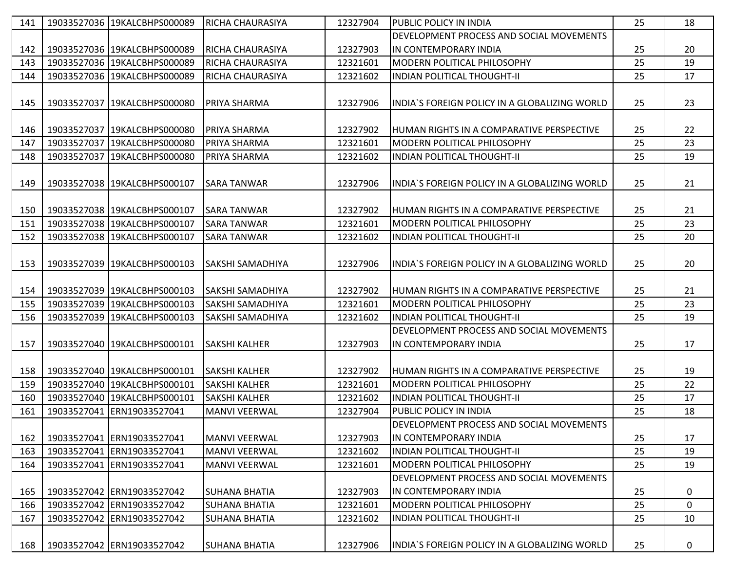| 141 | 19033527036 19KALCBHPS000089 | <b>RICHA CHAURASIYA</b> | 12327904 | <b>PUBLIC POLICY IN INDIA</b>                  | 25 | 18             |
|-----|------------------------------|-------------------------|----------|------------------------------------------------|----|----------------|
|     |                              |                         |          | DEVELOPMENT PROCESS AND SOCIAL MOVEMENTS       |    |                |
| 142 | 19033527036 19KALCBHPS000089 | <b>RICHA CHAURASIYA</b> | 12327903 | IIN CONTEMPORARY INDIA                         | 25 | 20             |
| 143 | 19033527036 19KALCBHPS000089 | <b>RICHA CHAURASIYA</b> | 12321601 | <b>MODERN POLITICAL PHILOSOPHY</b>             | 25 | 19             |
| 144 | 19033527036 19KALCBHPS000089 | <b>RICHA CHAURASIYA</b> | 12321602 | <b>INDIAN POLITICAL THOUGHT-II</b>             | 25 | 17             |
|     |                              |                         |          |                                                |    |                |
| 145 | 19033527037 19KALCBHPS000080 | <b>PRIYA SHARMA</b>     | 12327906 | INDIA'S FOREIGN POLICY IN A GLOBALIZING WORLD  | 25 | 23             |
|     |                              |                         |          |                                                |    |                |
| 146 | 19033527037 19KALCBHPS000080 | IPRIYA SHARMA           | 12327902 | IHUMAN RIGHTS IN A COMPARATIVE PERSPECTIVE     | 25 | 22             |
| 147 | 19033527037 19KALCBHPS000080 | <b>PRIYA SHARMA</b>     | 12321601 | <b>MODERN POLITICAL PHILOSOPHY</b>             | 25 | 23             |
| 148 | 19033527037 19KALCBHPS000080 | <b>PRIYA SHARMA</b>     | 12321602 | <b>INDIAN POLITICAL THOUGHT-II</b>             | 25 | 19             |
|     |                              |                         |          |                                                |    |                |
| 149 | 19033527038 19KALCBHPS000107 | ISARA TANWAR            | 12327906 | IINDIA`S FOREIGN POLICY IN A GLOBALIZING WORLD | 25 | 21             |
|     |                              |                         |          |                                                |    |                |
| 150 | 19033527038 19KALCBHPS000107 | <b>SARA TANWAR</b>      | 12327902 | IHUMAN RIGHTS IN A COMPARATIVE PERSPECTIVE     | 25 | 21             |
| 151 | 19033527038 19KALCBHPS000107 | <b>SARA TANWAR</b>      | 12321601 | <b>MODERN POLITICAL PHILOSOPHY</b>             | 25 | 23             |
| 152 | 19033527038 19KALCBHPS000107 | <b>SARA TANWAR</b>      | 12321602 | <b>INDIAN POLITICAL THOUGHT-II</b>             | 25 | 20             |
|     |                              |                         |          |                                                |    |                |
| 153 | 19033527039 19KALCBHPS000103 | ISAKSHI SAMADHIYA       | 12327906 | IINDIA`S FOREIGN POLICY IN A GLOBALIZING WORLD | 25 | 20             |
|     |                              |                         |          |                                                |    |                |
| 154 | 19033527039 19KALCBHPS000103 | ISAKSHI SAMADHIYA       | 12327902 | IHUMAN RIGHTS IN A COMPARATIVE PERSPECTIVE     | 25 | 21             |
| 155 | 19033527039 19KALCBHPS000103 | <b>SAKSHI SAMADHIYA</b> | 12321601 | MODERN POLITICAL PHILOSOPHY                    | 25 | 23             |
| 156 | 19033527039 19KALCBHPS000103 | <b>SAKSHI SAMADHIYA</b> | 12321602 | <b>INDIAN POLITICAL THOUGHT-II</b>             | 25 | 19             |
|     |                              |                         |          | DEVELOPMENT PROCESS AND SOCIAL MOVEMENTS       |    |                |
| 157 | 19033527040 19KALCBHPS000101 | <b>SAKSHI KALHER</b>    | 12327903 | IN CONTEMPORARY INDIA                          | 25 | 17             |
|     |                              |                         |          |                                                |    |                |
| 158 | 19033527040 19KALCBHPS000101 | <b>SAKSHI KALHER</b>    | 12327902 | IHUMAN RIGHTS IN A COMPARATIVE PERSPECTIVE     | 25 | 19             |
| 159 | 19033527040 19KALCBHPS000101 | <b>SAKSHI KALHER</b>    | 12321601 | <b>MODERN POLITICAL PHILOSOPHY</b>             | 25 | 22             |
| 160 | 19033527040 19KALCBHPS000101 | <b>SAKSHI KALHER</b>    | 12321602 | <b>INDIAN POLITICAL THOUGHT-II</b>             | 25 | 17             |
| 161 | 19033527041 ERN19033527041   | <b>MANVI VEERWAL</b>    | 12327904 | PUBLIC POLICY IN INDIA                         | 25 | 18             |
|     |                              |                         |          | DEVELOPMENT PROCESS AND SOCIAL MOVEMENTS       |    |                |
| 162 | 19033527041 ERN19033527041   | MANVI VEERWAL           | 12327903 | IN CONTEMPORARY INDIA                          | 25 | 17             |
| 163 | 19033527041 ERN19033527041   | MANVI VEERWAL           | 12321602 | INDIAN POLITICAL THOUGHT-II                    | 25 | 19             |
| 164 | 19033527041 ERN19033527041   | MANVI VEERWAL           | 12321601 | MODERN POLITICAL PHILOSOPHY                    | 25 | 19             |
|     |                              |                         |          | DEVELOPMENT PROCESS AND SOCIAL MOVEMENTS       |    |                |
| 165 | 19033527042 ERN19033527042   | <b>SUHANA BHATIA</b>    | 12327903 | IIN CONTEMPORARY INDIA                         | 25 | 0              |
| 166 | 19033527042 ERN19033527042   | <b>SUHANA BHATIA</b>    | 12321601 | MODERN POLITICAL PHILOSOPHY                    | 25 | $\overline{0}$ |
| 167 | 19033527042 ERN19033527042   | <b>SUHANA BHATIA</b>    | 12321602 | INDIAN POLITICAL THOUGHT-II                    | 25 | 10             |
|     |                              |                         |          |                                                |    |                |
| 168 | 19033527042 ERN19033527042   | <b>SUHANA BHATIA</b>    | 12327906 | INDIA'S FOREIGN POLICY IN A GLOBALIZING WORLD  | 25 | 0              |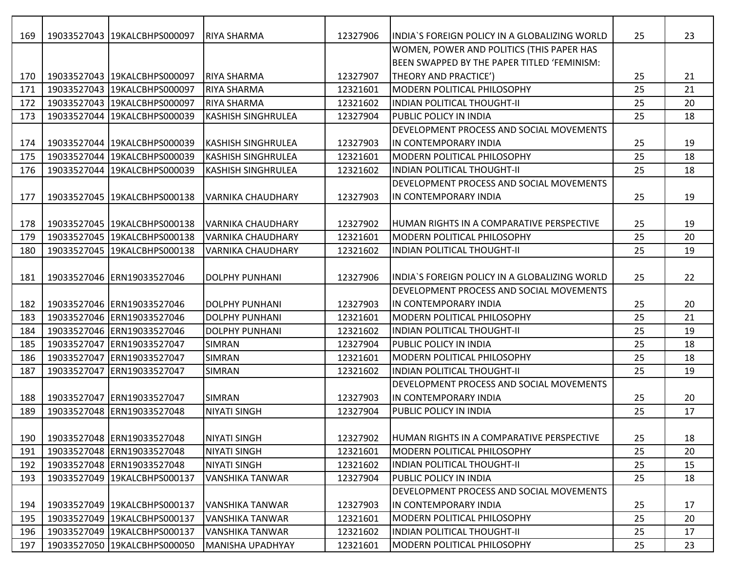| 169 |             | 19033527043 19KALCBHPS000097   | IRIYA SHARMA              | 12327906 | lINDIA`S FOREIGN POLICY IN A GLOBALIZING WORLD   | 25 | 23 |
|-----|-------------|--------------------------------|---------------------------|----------|--------------------------------------------------|----|----|
|     |             |                                |                           |          | WOMEN, POWER AND POLITICS (THIS PAPER HAS        |    |    |
|     |             |                                |                           |          | BEEN SWAPPED BY THE PAPER TITLED 'FEMINISM:      |    |    |
| 170 |             | 19033527043   19KALCBHPS000097 | IRIYA SHARMA              | 12327907 | <b>THEORY AND PRACTICE')</b>                     | 25 | 21 |
| 171 |             | 19033527043 19KALCBHPS000097   | <b>RIYA SHARMA</b>        | 12321601 | <b>IMODERN POLITICAL PHILOSOPHY</b>              | 25 | 21 |
| 172 |             | 19033527043 19KALCBHPS000097   | <b>RIYA SHARMA</b>        | 12321602 | IINDIAN POLITICAL THOUGHT-II                     | 25 | 20 |
| 173 |             | 19033527044 19KALCBHPS000039   | <b>KASHISH SINGHRULEA</b> | 12327904 | <b>PUBLIC POLICY IN INDIA</b>                    | 25 | 18 |
|     |             |                                |                           |          | DEVELOPMENT PROCESS AND SOCIAL MOVEMENTS         |    |    |
| 174 |             | 19033527044 19KALCBHPS000039   | <b>KASHISH SINGHRULEA</b> | 12327903 | IN CONTEMPORARY INDIA                            | 25 | 19 |
| 175 |             | 19033527044 19KALCBHPS000039   | <b>KASHISH SINGHRULEA</b> | 12321601 | <b>MODERN POLITICAL PHILOSOPHY</b>               | 25 | 18 |
| 176 |             | 19033527044 19KALCBHPS000039   | <b>KASHISH SINGHRULEA</b> | 12321602 | IINDIAN POLITICAL THOUGHT-II                     | 25 | 18 |
|     |             |                                |                           |          | DEVELOPMENT PROCESS AND SOCIAL MOVEMENTS         |    |    |
| 177 |             | 19033527045 19KALCBHPS000138   | IVARNIKA CHAUDHARY        | 12327903 | IN CONTEMPORARY INDIA                            | 25 | 19 |
|     |             |                                |                           |          |                                                  |    |    |
| 178 |             | 19033527045 19KALCBHPS000138   | IVARNIKA CHAUDHARY        | 12327902 | <b>HUMAN RIGHTS IN A COMPARATIVE PERSPECTIVE</b> | 25 | 19 |
| 179 |             | 19033527045 19KALCBHPS000138   | <b>VARNIKA CHAUDHARY</b>  | 12321601 | <b>IMODERN POLITICAL PHILOSOPHY</b>              | 25 | 20 |
| 180 |             | 19033527045 19KALCBHPS000138   | <b>VARNIKA CHAUDHARY</b>  | 12321602 | INDIAN POLITICAL THOUGHT-II                      | 25 | 19 |
|     |             |                                |                           |          |                                                  |    |    |
| 181 |             | 19033527046 ERN19033527046     | <b>DOLPHY PUNHANI</b>     | 12327906 | INDIA'S FOREIGN POLICY IN A GLOBALIZING WORLD    | 25 | 22 |
|     |             |                                |                           |          | DEVELOPMENT PROCESS AND SOCIAL MOVEMENTS         |    |    |
| 182 |             | 19033527046 ERN19033527046     | <b>DOLPHY PUNHANI</b>     | 12327903 | IIN CONTEMPORARY INDIA                           | 25 | 20 |
| 183 |             | 19033527046 ERN19033527046     | <b>DOLPHY PUNHANI</b>     | 12321601 | <b>MODERN POLITICAL PHILOSOPHY</b>               | 25 | 21 |
| 184 |             | 19033527046 ERN19033527046     | <b>DOLPHY PUNHANI</b>     | 12321602 | IINDIAN POLITICAL THOUGHT-II                     | 25 | 19 |
| 185 |             | 19033527047 ERN19033527047     | <b>SIMRAN</b>             | 12327904 | <b>PUBLIC POLICY IN INDIA</b>                    | 25 | 18 |
| 186 |             | 19033527047 ERN19033527047     | <b>SIMRAN</b>             | 12321601 | <b>IMODERN POLITICAL PHILOSOPHY</b>              | 25 | 18 |
| 187 | 19033527047 | ERN19033527047                 | <b>SIMRAN</b>             | 12321602 | INDIAN POLITICAL THOUGHT-II                      | 25 | 19 |
|     |             |                                |                           |          | DEVELOPMENT PROCESS AND SOCIAL MOVEMENTS         |    |    |
| 188 |             | 19033527047 ERN19033527047     | <b>SIMRAN</b>             | 12327903 | IN CONTEMPORARY INDIA                            | 25 | 20 |
| 189 |             | 19033527048 ERN19033527048     | <b>NIYATI SINGH</b>       | 12327904 | <b>PUBLIC POLICY IN INDIA</b>                    | 25 | 17 |
|     |             |                                |                           |          |                                                  |    |    |
| 190 |             | 19033527048 ERN19033527048     | <b>NIYATI SINGH</b>       | 12327902 | <b>HUMAN RIGHTS IN A COMPARATIVE PERSPECTIVE</b> | 25 | 18 |
| 191 |             | 19033527048 ERN19033527048     | <b>NIYATI SINGH</b>       | 12321601 | MODERN POLITICAL PHILOSOPHY                      | 25 | 20 |
| 192 |             | 19033527048 ERN19033527048     | <b>NIYATI SINGH</b>       | 12321602 | INDIAN POLITICAL THOUGHT-II                      | 25 | 15 |
| 193 |             | 19033527049 19KALCBHPS000137   | VANSHIKA TANWAR           | 12327904 | <b>PUBLIC POLICY IN INDIA</b>                    | 25 | 18 |
|     |             |                                |                           |          | DEVELOPMENT PROCESS AND SOCIAL MOVEMENTS         |    |    |
| 194 |             | 19033527049   19KALCBHPS000137 | VANSHIKA TANWAR           | 12327903 | IN CONTEMPORARY INDIA                            | 25 | 17 |
| 195 |             | 19033527049 19KALCBHPS000137   | <b>VANSHIKA TANWAR</b>    | 12321601 | MODERN POLITICAL PHILOSOPHY                      | 25 | 20 |
| 196 |             | 19033527049 19KALCBHPS000137   | <b>VANSHIKA TANWAR</b>    | 12321602 | <b>INDIAN POLITICAL THOUGHT-II</b>               | 25 | 17 |
| 197 |             | 19033527050 19KALCBHPS000050   | <b>MANISHA UPADHYAY</b>   | 12321601 | MODERN POLITICAL PHILOSOPHY                      | 25 | 23 |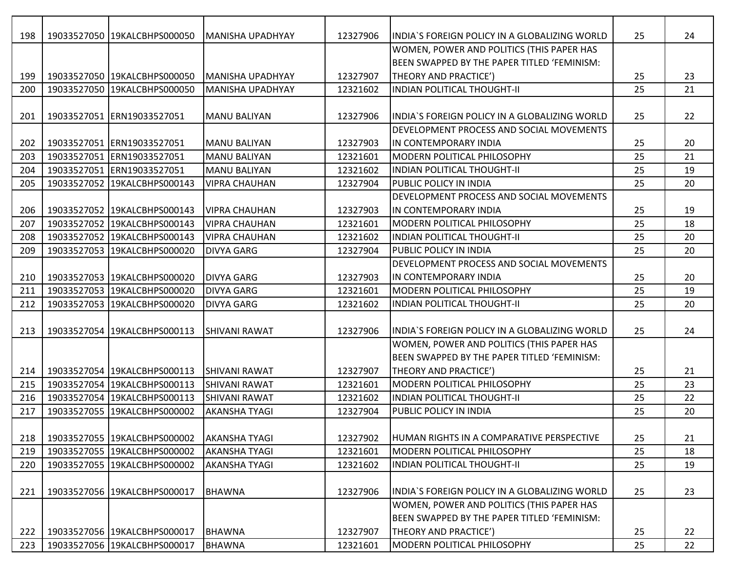| 198 | 19033527050 19KALCBHPS000050 | <b>MANISHA UPADHYAY</b> | 12327906 | IINDIA`S FOREIGN POLICY IN A GLOBALIZING WORLD   | 25 | 24 |
|-----|------------------------------|-------------------------|----------|--------------------------------------------------|----|----|
|     |                              |                         |          | WOMEN, POWER AND POLITICS (THIS PAPER HAS        |    |    |
|     |                              |                         |          | BEEN SWAPPED BY THE PAPER TITLED 'FEMINISM:      |    |    |
| 199 | 19033527050 19KALCBHPS000050 | MANISHA UPADHYAY        | 12327907 | <b>THEORY AND PRACTICE')</b>                     | 25 | 23 |
| 200 | 19033527050 19KALCBHPS000050 | MANISHA UPADHYAY        | 12321602 | <b>INDIAN POLITICAL THOUGHT-II</b>               | 25 | 21 |
|     |                              |                         |          |                                                  |    |    |
| 201 | 19033527051 ERN19033527051   | <b>MANU BALIYAN</b>     | 12327906 | IINDIA`S FOREIGN POLICY IN A GLOBALIZING WORLD   | 25 | 22 |
|     |                              |                         |          | IDEVELOPMENT PROCESS AND SOCIAL MOVEMENTS        |    |    |
| 202 | 19033527051 ERN19033527051   | IMANU BALIYAN           | 12327903 | IN CONTEMPORARY INDIA                            | 25 | 20 |
| 203 | 19033527051 ERN19033527051   | <b>MANU BALIYAN</b>     | 12321601 | <b>MODERN POLITICAL PHILOSOPHY</b>               | 25 | 21 |
| 204 | 19033527051 ERN19033527051   | <b>MANU BALIYAN</b>     | 12321602 | IINDIAN POLITICAL THOUGHT-II                     | 25 | 19 |
| 205 | 19033527052 19KALCBHPS000143 | <b>VIPRA CHAUHAN</b>    | 12327904 | <b>PUBLIC POLICY IN INDIA</b>                    | 25 | 20 |
|     |                              |                         |          | DEVELOPMENT PROCESS AND SOCIAL MOVEMENTS         |    |    |
| 206 | 19033527052 19KALCBHPS000143 | <b>VIPRA CHAUHAN</b>    | 12327903 | IIN CONTEMPORARY INDIA                           | 25 | 19 |
| 207 | 19033527052 19KALCBHPS000143 | <b>VIPRA CHAUHAN</b>    | 12321601 | <b>IMODERN POLITICAL PHILOSOPHY</b>              | 25 | 18 |
| 208 | 19033527052 19KALCBHPS000143 | <b>VIPRA CHAUHAN</b>    | 12321602 | IINDIAN POLITICAL THOUGHT-II                     | 25 | 20 |
| 209 | 19033527053 19KALCBHPS000020 | <b>DIVYA GARG</b>       | 12327904 | <b>PUBLIC POLICY IN INDIA</b>                    | 25 | 20 |
|     |                              |                         |          | DEVELOPMENT PROCESS AND SOCIAL MOVEMENTS         |    |    |
| 210 | 19033527053 19KALCBHPS000020 | <b>DIVYA GARG</b>       | 12327903 | IN CONTEMPORARY INDIA                            | 25 | 20 |
| 211 | 19033527053 19KALCBHPS000020 | <b>DIVYA GARG</b>       | 12321601 | <b>MODERN POLITICAL PHILOSOPHY</b>               | 25 | 19 |
| 212 | 19033527053 19KALCBHPS000020 | <b>DIVYA GARG</b>       | 12321602 | INDIAN POLITICAL THOUGHT-II                      | 25 | 20 |
|     |                              |                         |          |                                                  |    |    |
| 213 | 19033527054 19KALCBHPS000113 | ISHIVANI RAWAT          | 12327906 | INDIA'S FOREIGN POLICY IN A GLOBALIZING WORLD    | 25 | 24 |
|     |                              |                         |          | WOMEN, POWER AND POLITICS (THIS PAPER HAS        |    |    |
|     |                              |                         |          | BEEN SWAPPED BY THE PAPER TITLED 'FEMINISM:      |    |    |
| 214 | 19033527054 19KALCBHPS000113 | <b>SHIVANI RAWAT</b>    | 12327907 | <b>THEORY AND PRACTICE')</b>                     | 25 | 21 |
| 215 | 19033527054 19KALCBHPS000113 | <b>ISHIVANI RAWAT</b>   | 12321601 | <b>IMODERN POLITICAL PHILOSOPHY</b>              | 25 | 23 |
| 216 | 19033527054 19KALCBHPS000113 | <b>SHIVANI RAWAT</b>    | 12321602 | <b>INDIAN POLITICAL THOUGHT-II</b>               | 25 | 22 |
| 217 | 19033527055 19KALCBHPS000002 | <b>AKANSHA TYAGI</b>    | 12327904 | <b>PUBLIC POLICY IN INDIA</b>                    | 25 | 20 |
|     |                              |                         |          |                                                  |    |    |
| 218 | 19033527055 19KALCBHPS000002 | <b>AKANSHA TYAGI</b>    | 12327902 | <b>HUMAN RIGHTS IN A COMPARATIVE PERSPECTIVE</b> | 25 | 21 |
| 219 | 19033527055 19KALCBHPS000002 | <b>AKANSHA TYAGI</b>    | 12321601 | MODERN POLITICAL PHILOSOPHY                      | 25 | 18 |
| 220 | 19033527055 19KALCBHPS000002 | <b>AKANSHA TYAGI</b>    | 12321602 | <b>INDIAN POLITICAL THOUGHT-II</b>               | 25 | 19 |
|     |                              |                         |          |                                                  |    |    |
| 221 | 19033527056 19KALCBHPS000017 | <b>BHAWNA</b>           | 12327906 | INDIA'S FOREIGN POLICY IN A GLOBALIZING WORLD    | 25 | 23 |
|     |                              |                         |          | WOMEN, POWER AND POLITICS (THIS PAPER HAS        |    |    |
|     |                              |                         |          | BEEN SWAPPED BY THE PAPER TITLED 'FEMINISM:      |    |    |
| 222 | 19033527056 19KALCBHPS000017 | <b>BHAWNA</b>           | 12327907 | THEORY AND PRACTICE')                            | 25 | 22 |
| 223 | 19033527056 19KALCBHPS000017 | <b>BHAWNA</b>           | 12321601 | MODERN POLITICAL PHILOSOPHY                      | 25 | 22 |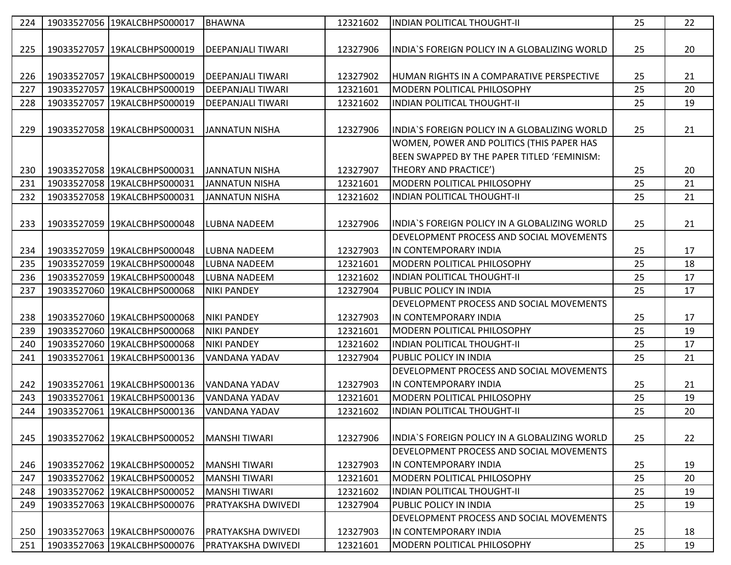| 224 | 19033527056 19KALCBHPS000017 | <b>BHAWNA</b>            | 12321602 | <b>INDIAN POLITICAL THOUGHT-II</b>             | 25 | 22 |
|-----|------------------------------|--------------------------|----------|------------------------------------------------|----|----|
|     |                              |                          |          |                                                |    |    |
| 225 | 19033527057 19KALCBHPS000019 | <b>DEEPANJALI TIWARI</b> | 12327906 | lINDIA`S FOREIGN POLICY IN A GLOBALIZING WORLD | 25 | 20 |
|     |                              |                          |          |                                                |    |    |
| 226 | 19033527057 19KALCBHPS000019 | <b>DEEPANJALI TIWARI</b> | 12327902 | IHUMAN RIGHTS IN A COMPARATIVE PERSPECTIVE     | 25 | 21 |
| 227 | 19033527057 19KALCBHPS000019 | <b>DEEPANJALI TIWARI</b> | 12321601 | MODERN POLITICAL PHILOSOPHY                    | 25 | 20 |
| 228 | 19033527057 19KALCBHPS000019 | DEEPANJALI TIWARI        | 12321602 | <b>INDIAN POLITICAL THOUGHT-II</b>             | 25 | 19 |
|     |                              |                          |          |                                                |    |    |
| 229 | 19033527058 19KALCBHPS000031 | IJANNATUN NISHA          | 12327906 | lINDIA`S FOREIGN POLICY IN A GLOBALIZING WORLD | 25 | 21 |
|     |                              |                          |          | WOMEN, POWER AND POLITICS (THIS PAPER HAS      |    |    |
|     |                              |                          |          | BEEN SWAPPED BY THE PAPER TITLED 'FEMINISM:    |    |    |
| 230 | 19033527058 19KALCBHPS000031 | <b>JANNATUN NISHA</b>    | 12327907 | THEORY AND PRACTICE')                          | 25 | 20 |
| 231 | 19033527058 19KALCBHPS000031 | <b>JANNATUN NISHA</b>    | 12321601 | MODERN POLITICAL PHILOSOPHY                    | 25 | 21 |
| 232 | 19033527058 19KALCBHPS000031 | <b>JANNATUN NISHA</b>    | 12321602 | <b>INDIAN POLITICAL THOUGHT-II</b>             | 25 | 21 |
|     |                              |                          |          |                                                |    |    |
| 233 | 19033527059 19KALCBHPS000048 | LUBNA NADEEM             | 12327906 | lINDIA`S FOREIGN POLICY IN A GLOBALIZING WORLD | 25 | 21 |
|     |                              |                          |          | DEVELOPMENT PROCESS AND SOCIAL MOVEMENTS       |    |    |
| 234 | 19033527059 19KALCBHPS000048 | <b>LUBNA NADEEM</b>      | 12327903 | IIN CONTEMPORARY INDIA                         | 25 | 17 |
| 235 | 19033527059 19KALCBHPS000048 | LUBNA NADEEM             | 12321601 | <b>IMODERN POLITICAL PHILOSOPHY</b>            | 25 | 18 |
| 236 | 19033527059 19KALCBHPS000048 | <b>LUBNA NADEEM</b>      | 12321602 | INDIAN POLITICAL THOUGHT-II                    | 25 | 17 |
| 237 | 19033527060 19KALCBHPS000068 | <b>NIKI PANDEY</b>       | 12327904 | <b>PUBLIC POLICY IN INDIA</b>                  | 25 | 17 |
|     |                              |                          |          | DEVELOPMENT PROCESS AND SOCIAL MOVEMENTS       |    |    |
| 238 | 19033527060 19KALCBHPS000068 | <b>NIKI PANDEY</b>       | 12327903 | IIN CONTEMPORARY INDIA                         | 25 | 17 |
| 239 | 19033527060 19KALCBHPS000068 | <b>NIKI PANDEY</b>       | 12321601 | <b>IMODERN POLITICAL PHILOSOPHY</b>            | 25 | 19 |
| 240 | 19033527060 19KALCBHPS000068 | <b>NIKI PANDEY</b>       | 12321602 | INDIAN POLITICAL THOUGHT-II                    | 25 | 17 |
| 241 | 19033527061 19KALCBHPS000136 | VANDANA YADAV            | 12327904 | <b>PUBLIC POLICY IN INDIA</b>                  | 25 | 21 |
|     |                              |                          |          | DEVELOPMENT PROCESS AND SOCIAL MOVEMENTS       |    |    |
| 242 | 19033527061 19KALCBHPS000136 | VANDANA YADAV            | 12327903 | IIN CONTEMPORARY INDIA                         | 25 | 21 |
| 243 | 19033527061 19KALCBHPS000136 | VANDANA YADAV            | 12321601 | <b>MODERN POLITICAL PHILOSOPHY</b>             | 25 | 19 |
| 244 | 19033527061 19KALCBHPS000136 | VANDANA YADAV            | 12321602 | <b>INDIAN POLITICAL THOUGHT-II</b>             | 25 | 20 |
|     |                              |                          |          |                                                |    |    |
| 245 | 19033527062 19KALCBHPS000052 | <b>MANSHI TIWARI</b>     | 12327906 | INDIA'S FOREIGN POLICY IN A GLOBALIZING WORLD  | 25 | 22 |
|     |                              |                          |          | DEVELOPMENT PROCESS AND SOCIAL MOVEMENTS       |    |    |
| 246 | 19033527062 19KALCBHPS000052 | IMANSHI TIWARI           | 12327903 | IN CONTEMPORARY INDIA                          | 25 | 19 |
| 247 | 19033527062 19KALCBHPS000052 | <b>MANSHI TIWARI</b>     | 12321601 | MODERN POLITICAL PHILOSOPHY                    | 25 | 20 |
| 248 | 19033527062 19KALCBHPS000052 | MANSHI TIWARI            | 12321602 | IINDIAN POLITICAL THOUGHT-II                   | 25 | 19 |
| 249 | 19033527063 19KALCBHPS000076 | PRATYAKSHA DWIVEDI       | 12327904 | <b>PUBLIC POLICY IN INDIA</b>                  | 25 | 19 |
|     |                              |                          |          | DEVELOPMENT PROCESS AND SOCIAL MOVEMENTS       |    |    |
| 250 | 19033527063 19KALCBHPS000076 | PRATYAKSHA DWIVEDI       | 12327903 | IN CONTEMPORARY INDIA                          | 25 | 18 |
| 251 | 19033527063 19KALCBHPS000076 | PRATYAKSHA DWIVEDI       | 12321601 | MODERN POLITICAL PHILOSOPHY                    | 25 | 19 |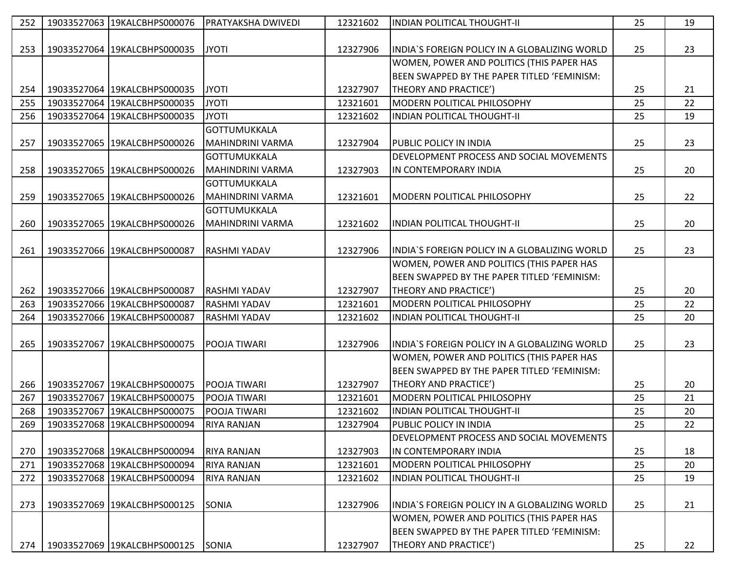| 252 | 19033527063 19KALCBHPS000076 | <b>PRATYAKSHA DWIVEDI</b> | 12321602 | <b>INDIAN POLITICAL THOUGHT-II</b>             | 25 | 19 |
|-----|------------------------------|---------------------------|----------|------------------------------------------------|----|----|
|     |                              |                           |          |                                                |    |    |
| 253 | 19033527064 19KALCBHPS000035 | <b>JYOTI</b>              | 12327906 | IINDIA`S FOREIGN POLICY IN A GLOBALIZING WORLD | 25 | 23 |
|     |                              |                           |          | WOMEN, POWER AND POLITICS (THIS PAPER HAS      |    |    |
|     |                              |                           |          | BEEN SWAPPED BY THE PAPER TITLED 'FEMINISM:    |    |    |
| 254 | 19033527064 19KALCBHPS000035 | <b>JYOTI</b>              | 12327907 | THEORY AND PRACTICE')                          | 25 | 21 |
| 255 | 19033527064 19KALCBHPS000035 | <b>JYOTI</b>              | 12321601 | MODERN POLITICAL PHILOSOPHY                    | 25 | 22 |
| 256 | 19033527064 19KALCBHPS000035 | <b>JYOTI</b>              | 12321602 | <b>INDIAN POLITICAL THOUGHT-II</b>             | 25 | 19 |
|     |                              | <b>GOTTUMUKKALA</b>       |          |                                                |    |    |
| 257 | 19033527065 19KALCBHPS000026 | MAHINDRINI VARMA          | 12327904 | <b>PUBLIC POLICY IN INDIA</b>                  | 25 | 23 |
|     |                              | <b>GOTTUMUKKALA</b>       |          | DEVELOPMENT PROCESS AND SOCIAL MOVEMENTS       |    |    |
| 258 | 19033527065 19KALCBHPS000026 | MAHINDRINI VARMA          | 12327903 | IN CONTEMPORARY INDIA                          | 25 | 20 |
|     |                              | GOTTUMUKKALA              |          |                                                |    |    |
| 259 | 19033527065 19KALCBHPS000026 | MAHINDRINI VARMA          | 12321601 | MODERN POLITICAL PHILOSOPHY                    | 25 | 22 |
|     |                              | <b>GOTTUMUKKALA</b>       |          |                                                |    |    |
| 260 | 19033527065 19KALCBHPS000026 | <b>MAHINDRINI VARMA</b>   | 12321602 | INDIAN POLITICAL THOUGHT-II                    | 25 | 20 |
|     |                              |                           |          |                                                |    |    |
| 261 | 19033527066 19KALCBHPS000087 | <b>RASHMI YADAV</b>       | 12327906 | INDIA'S FOREIGN POLICY IN A GLOBALIZING WORLD  | 25 | 23 |
|     |                              |                           |          | WOMEN, POWER AND POLITICS (THIS PAPER HAS      |    |    |
|     |                              |                           |          | BEEN SWAPPED BY THE PAPER TITLED 'FEMINISM:    |    |    |
| 262 | 19033527066 19KALCBHPS000087 | <b>RASHMI YADAV</b>       | 12327907 | THEORY AND PRACTICE')                          | 25 | 20 |
| 263 | 19033527066 19KALCBHPS000087 | RASHMI YADAV              | 12321601 | MODERN POLITICAL PHILOSOPHY                    | 25 | 22 |
| 264 | 19033527066 19KALCBHPS000087 | <b>RASHMI YADAV</b>       | 12321602 | <b>INDIAN POLITICAL THOUGHT-II</b>             | 25 | 20 |
|     |                              |                           |          |                                                |    |    |
| 265 | 19033527067 19KALCBHPS000075 | POOJA TIWARI              | 12327906 | INDIA'S FOREIGN POLICY IN A GLOBALIZING WORLD  | 25 | 23 |
|     |                              |                           |          | WOMEN, POWER AND POLITICS (THIS PAPER HAS      |    |    |
|     |                              |                           |          | BEEN SWAPPED BY THE PAPER TITLED 'FEMINISM:    |    |    |
| 266 | 19033527067 19KALCBHPS000075 | <b>POOJA TIWARI</b>       | 12327907 | THEORY AND PRACTICE')                          | 25 | 20 |
| 267 | 19033527067 19KALCBHPS000075 | POOJA TIWARI              | 12321601 | MODERN POLITICAL PHILOSOPHY                    | 25 | 21 |
| 268 | 19033527067 19KALCBHPS000075 | POOJA TIWARI              | 12321602 | INDIAN POLITICAL THOUGHT-II                    | 25 | 20 |
| 269 | 19033527068 19KALCBHPS000094 | <b>RIYA RANJAN</b>        | 12327904 | PUBLIC POLICY IN INDIA                         | 25 | 22 |
|     |                              |                           |          | DEVELOPMENT PROCESS AND SOCIAL MOVEMENTS       |    |    |
| 270 | 19033527068 19KALCBHPS000094 | <b>RIYA RANJAN</b>        | 12327903 | IN CONTEMPORARY INDIA                          | 25 | 18 |
| 271 | 19033527068 19KALCBHPS000094 | <b>RIYA RANJAN</b>        | 12321601 | MODERN POLITICAL PHILOSOPHY                    | 25 | 20 |
| 272 | 19033527068 19KALCBHPS000094 | <b>RIYA RANJAN</b>        | 12321602 | INDIAN POLITICAL THOUGHT-II                    | 25 | 19 |
|     |                              |                           |          |                                                |    |    |
| 273 | 19033527069 19KALCBHPS000125 | <b>SONIA</b>              | 12327906 | INDIA'S FOREIGN POLICY IN A GLOBALIZING WORLD  | 25 | 21 |
|     |                              |                           |          | WOMEN, POWER AND POLITICS (THIS PAPER HAS      |    |    |
|     |                              |                           |          | BEEN SWAPPED BY THE PAPER TITLED 'FEMINISM:    |    |    |
| 274 | 19033527069 19KALCBHPS000125 | SONIA                     | 12327907 | THEORY AND PRACTICE')                          | 25 | 22 |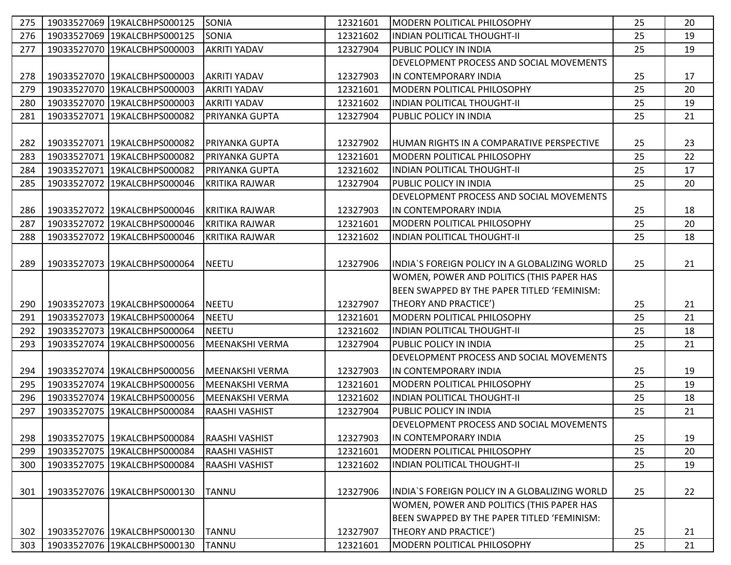| 275 | 19033527069 19KALCBHPS000125   | <b>SONIA</b>           | 12321601 | MODERN POLITICAL PHILOSOPHY                    | 25 | 20 |
|-----|--------------------------------|------------------------|----------|------------------------------------------------|----|----|
| 276 | 19033527069 19KALCBHPS000125   | <b>SONIA</b>           | 12321602 | <b>INDIAN POLITICAL THOUGHT-II</b>             | 25 | 19 |
| 277 | 19033527070 19KALCBHPS000003   | <b>AKRITI YADAV</b>    | 12327904 | IPUBLIC POLICY IN INDIA                        | 25 | 19 |
|     |                                |                        |          | DEVELOPMENT PROCESS AND SOCIAL MOVEMENTS       |    |    |
| 278 | 19033527070 19KALCBHPS000003   | AKRITI YADAV           | 12327903 | IIN CONTEMPORARY INDIA                         | 25 | 17 |
| 279 | 19033527070 19KALCBHPS000003   | <b>AKRITI YADAV</b>    | 12321601 | MODERN POLITICAL PHILOSOPHY                    | 25 | 20 |
| 280 | 19033527070 19KALCBHPS000003   | <b>AKRITI YADAV</b>    | 12321602 | <b>INDIAN POLITICAL THOUGHT-II</b>             | 25 | 19 |
| 281 | 19033527071 19KALCBHPS000082   | PRIYANKA GUPTA         | 12327904 | PUBLIC POLICY IN INDIA                         | 25 | 21 |
|     |                                |                        |          |                                                |    |    |
| 282 | 19033527071 19KALCBHPS000082   | PRIYANKA GUPTA         | 12327902 | IHUMAN RIGHTS IN A COMPARATIVE PERSPECTIVE     | 25 | 23 |
| 283 | 19033527071 19KALCBHPS000082   | PRIYANKA GUPTA         | 12321601 | <b>IMODERN POLITICAL PHILOSOPHY</b>            | 25 | 22 |
| 284 | 19033527071 19KALCBHPS000082   | PRIYANKA GUPTA         | 12321602 | <b>INDIAN POLITICAL THOUGHT-II</b>             | 25 | 17 |
| 285 | 19033527072 19KALCBHPS000046   | <b>KRITIKA RAJWAR</b>  | 12327904 | <b>PUBLIC POLICY IN INDIA</b>                  | 25 | 20 |
|     |                                |                        |          | DEVELOPMENT PROCESS AND SOCIAL MOVEMENTS       |    |    |
| 286 | 19033527072 19KALCBHPS000046   | <b>KRITIKA RAJWAR</b>  | 12327903 | IIN CONTEMPORARY INDIA                         | 25 | 18 |
| 287 | 19033527072 19KALCBHPS000046   | <b>KRITIKA RAJWAR</b>  | 12321601 | IMODERN POLITICAL PHILOSOPHY                   | 25 | 20 |
| 288 | 19033527072 19KALCBHPS000046   | <b>KRITIKA RAJWAR</b>  | 12321602 | <b>INDIAN POLITICAL THOUGHT-II</b>             | 25 | 18 |
|     |                                |                        |          |                                                |    |    |
| 289 | 19033527073   19KALCBHPS000064 | <b>NEETU</b>           | 12327906 | INDIA`S FOREIGN POLICY IN A GLOBALIZING WORLD  | 25 | 21 |
|     |                                |                        |          | WOMEN, POWER AND POLITICS (THIS PAPER HAS      |    |    |
|     |                                |                        |          | BEEN SWAPPED BY THE PAPER TITLED 'FEMINISM:    |    |    |
| 290 | 19033527073 19KALCBHPS000064   | <b>NEETU</b>           | 12327907 | THEORY AND PRACTICE')                          | 25 | 21 |
| 291 | 19033527073 19KALCBHPS000064   | <b>NEETU</b>           | 12321601 | <b>IMODERN POLITICAL PHILOSOPHY</b>            | 25 | 21 |
| 292 | 19033527073 19KALCBHPS000064   | <b>NEETU</b>           | 12321602 | INDIAN POLITICAL THOUGHT-II                    | 25 | 18 |
| 293 | 19033527074 19KALCBHPS000056   | <b>MEENAKSHI VERMA</b> | 12327904 | PUBLIC POLICY IN INDIA                         | 25 | 21 |
|     |                                |                        |          | DEVELOPMENT PROCESS AND SOCIAL MOVEMENTS       |    |    |
| 294 | 19033527074 19KALCBHPS000056   | MEENAKSHI VERMA        | 12327903 | IN CONTEMPORARY INDIA                          | 25 | 19 |
| 295 | 19033527074 19KALCBHPS000056   | <b>MEENAKSHI VERMA</b> | 12321601 | <b>IMODERN POLITICAL PHILOSOPHY</b>            | 25 | 19 |
| 296 | 19033527074 19KALCBHPS000056   | <b>MEENAKSHI VERMA</b> | 12321602 | <b>INDIAN POLITICAL THOUGHT-II</b>             | 25 | 18 |
| 297 | 19033527075 19KALCBHPS000084   | RAASHI VASHIST         | 12327904 | PUBLIC POLICY IN INDIA                         | 25 | 21 |
|     |                                |                        |          | DEVELOPMENT PROCESS AND SOCIAL MOVEMENTS       |    |    |
| 298 | 19033527075 19KALCBHPS000084   | <b>RAASHI VASHIST</b>  | 12327903 | IIN CONTEMPORARY INDIA                         | 25 | 19 |
| 299 | 19033527075 19KALCBHPS000084   | <b>RAASHI VASHIST</b>  | 12321601 | MODERN POLITICAL PHILOSOPHY                    | 25 | 20 |
| 300 | 19033527075 19KALCBHPS000084   | RAASHI VASHIST         | 12321602 | <b>INDIAN POLITICAL THOUGHT-II</b>             | 25 | 19 |
|     |                                |                        |          |                                                |    |    |
| 301 | 19033527076 19KALCBHPS000130   | <b>TANNU</b>           | 12327906 | IINDIA`S FOREIGN POLICY IN A GLOBALIZING WORLD | 25 | 22 |
|     |                                |                        |          | WOMEN, POWER AND POLITICS (THIS PAPER HAS      |    |    |
|     |                                |                        |          | BEEN SWAPPED BY THE PAPER TITLED 'FEMINISM:    |    |    |
| 302 | 19033527076 19KALCBHPS000130   | <b>TANNU</b>           | 12327907 | THEORY AND PRACTICE')                          | 25 | 21 |
| 303 | 19033527076 19KALCBHPS000130   | <b>TANNU</b>           | 12321601 | MODERN POLITICAL PHILOSOPHY                    | 25 | 21 |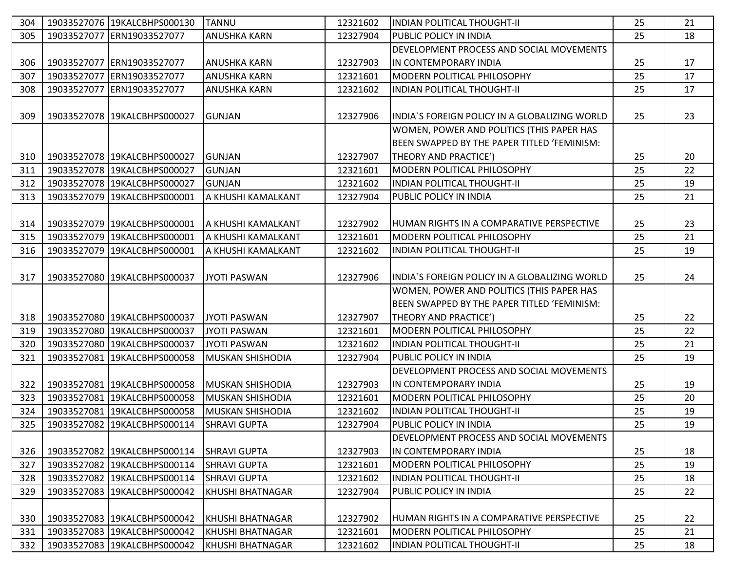| 304 | 19033527076 19KALCBHPS000130 | <b>TANNU</b>            | 12321602 | <b>INDIAN POLITICAL THOUGHT-II</b>             | 25 | 21 |
|-----|------------------------------|-------------------------|----------|------------------------------------------------|----|----|
| 305 | 19033527077 ERN19033527077   | <b>ANUSHKA KARN</b>     | 12327904 | <b>PUBLIC POLICY IN INDIA</b>                  | 25 | 18 |
|     |                              |                         |          | DEVELOPMENT PROCESS AND SOCIAL MOVEMENTS       |    |    |
| 306 | 19033527077 ERN19033527077   | <b>ANUSHKA KARN</b>     | 12327903 | IN CONTEMPORARY INDIA                          | 25 | 17 |
| 307 | 19033527077 ERN19033527077   | <b>ANUSHKA KARN</b>     | 12321601 | MODERN POLITICAL PHILOSOPHY                    | 25 | 17 |
| 308 | 19033527077 ERN19033527077   | <b>ANUSHKA KARN</b>     | 12321602 | <b>INDIAN POLITICAL THOUGHT-II</b>             | 25 | 17 |
|     |                              |                         |          |                                                |    |    |
| 309 | 19033527078 19KALCBHPS000027 | <b>GUNJAN</b>           | 12327906 | INDIA`S FOREIGN POLICY IN A GLOBALIZING WORLD  | 25 | 23 |
|     |                              |                         |          | WOMEN, POWER AND POLITICS (THIS PAPER HAS      |    |    |
|     |                              |                         |          | BEEN SWAPPED BY THE PAPER TITLED 'FEMINISM:    |    |    |
| 310 | 19033527078 19KALCBHPS000027 | <b>GUNJAN</b>           | 12327907 | THEORY AND PRACTICE')                          | 25 | 20 |
| 311 | 19033527078 19KALCBHPS000027 | <b>GUNJAN</b>           | 12321601 | <b>MODERN POLITICAL PHILOSOPHY</b>             | 25 | 22 |
| 312 | 19033527078 19KALCBHPS000027 | <b>GUNJAN</b>           | 12321602 | INDIAN POLITICAL THOUGHT-II                    | 25 | 19 |
| 313 | 19033527079 19KALCBHPS000001 | A KHUSHI KAMALKANT      | 12327904 | <b>PUBLIC POLICY IN INDIA</b>                  | 25 | 21 |
|     |                              |                         |          |                                                |    |    |
| 314 | 19033527079 19KALCBHPS000001 | IA KHUSHI KAMALKANT     | 12327902 | IHUMAN RIGHTS IN A COMPARATIVE PERSPECTIVE     | 25 | 23 |
| 315 | 19033527079 19KALCBHPS000001 | IA KHUSHI KAMALKANT     | 12321601 | MODERN POLITICAL PHILOSOPHY                    | 25 | 21 |
| 316 | 19033527079 19KALCBHPS000001 | A KHUSHI KAMALKANT      | 12321602 | INDIAN POLITICAL THOUGHT-II                    | 25 | 19 |
|     |                              |                         |          |                                                |    |    |
| 317 | 19033527080 19KALCBHPS000037 | JYOTI PASWAN            | 12327906 | IINDIA`S FOREIGN POLICY IN A GLOBALIZING WORLD | 25 | 24 |
|     |                              |                         |          | WOMEN, POWER AND POLITICS (THIS PAPER HAS      |    |    |
|     |                              |                         |          | BEEN SWAPPED BY THE PAPER TITLED 'FEMINISM:    |    |    |
| 318 | 19033527080 19KALCBHPS000037 | JYOTI PASWAN            | 12327907 | THEORY AND PRACTICE')                          | 25 | 22 |
| 319 | 19033527080 19KALCBHPS000037 | JYOTI PASWAN            | 12321601 | MODERN POLITICAL PHILOSOPHY                    | 25 | 22 |
| 320 | 19033527080 19KALCBHPS000037 | <b>JYOTI PASWAN</b>     | 12321602 | <b>INDIAN POLITICAL THOUGHT-II</b>             | 25 | 21 |
| 321 | 19033527081 19KALCBHPS000058 | <b>MUSKAN SHISHODIA</b> | 12327904 | <b>PUBLIC POLICY IN INDIA</b>                  | 25 | 19 |
|     |                              |                         |          | DEVELOPMENT PROCESS AND SOCIAL MOVEMENTS       |    |    |
| 322 | 19033527081 19KALCBHPS000058 | <b>MUSKAN SHISHODIA</b> | 12327903 | IIN CONTEMPORARY INDIA                         | 25 | 19 |
| 323 | 19033527081 19KALCBHPS000058 | <b>MUSKAN SHISHODIA</b> | 12321601 | MODERN POLITICAL PHILOSOPHY                    | 25 | 20 |
| 324 | 19033527081 19KALCBHPS000058 | <b>MUSKAN SHISHODIA</b> | 12321602 | INDIAN POLITICAL THOUGHT-II                    | 25 | 19 |
| 325 | 19033527082 19KALCBHPS000114 | <b>SHRAVI GUPTA</b>     | 12327904 | <b>PUBLIC POLICY IN INDIA</b>                  | 25 | 19 |
|     |                              |                         |          | DEVELOPMENT PROCESS AND SOCIAL MOVEMENTS       |    |    |
| 326 | 19033527082 19KALCBHPS000114 | <b>SHRAVI GUPTA</b>     | 12327903 | IN CONTEMPORARY INDIA                          | 25 | 18 |
| 327 | 19033527082 19KALCBHPS000114 | <b>SHRAVI GUPTA</b>     | 12321601 | MODERN POLITICAL PHILOSOPHY                    | 25 | 19 |
| 328 | 19033527082 19KALCBHPS000114 | <b>SHRAVI GUPTA</b>     | 12321602 | INDIAN POLITICAL THOUGHT-II                    | 25 | 18 |
| 329 | 19033527083 19KALCBHPS000042 | KHUSHI BHATNAGAR        | 12327904 | <b>PUBLIC POLICY IN INDIA</b>                  | 25 | 22 |
|     |                              |                         |          |                                                |    |    |
| 330 | 19033527083 19KALCBHPS000042 | <b>KHUSHI BHATNAGAR</b> | 12327902 | HUMAN RIGHTS IN A COMPARATIVE PERSPECTIVE      | 25 | 22 |
| 331 | 19033527083 19KALCBHPS000042 | <b>KHUSHI BHATNAGAR</b> | 12321601 | IMODERN POLITICAL PHILOSOPHY                   | 25 | 21 |
| 332 | 19033527083 19KALCBHPS000042 | KHUSHI BHATNAGAR        | 12321602 | <b>INDIAN POLITICAL THOUGHT-II</b>             | 25 | 18 |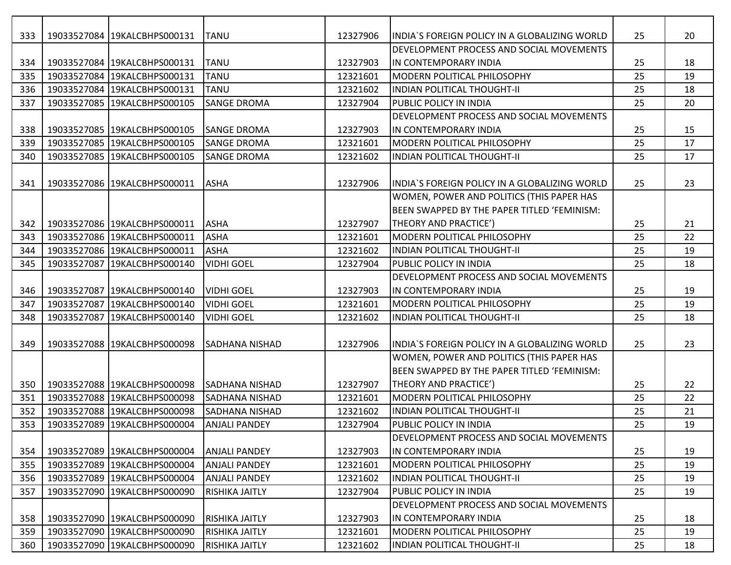| 333 | 19033527084 19KALCBHPS000131 | <b>TANU</b>           | 12327906 | IINDIA`S FOREIGN POLICY IN A GLOBALIZING WORLD | 25 | 20 |
|-----|------------------------------|-----------------------|----------|------------------------------------------------|----|----|
|     |                              |                       |          | DEVELOPMENT PROCESS AND SOCIAL MOVEMENTS       |    |    |
| 334 | 19033527084 19KALCBHPS000131 | <b>TANU</b>           | 12327903 | IIN CONTEMPORARY INDIA                         | 25 | 18 |
| 335 | 19033527084 19KALCBHPS000131 | <b>TANU</b>           | 12321601 | IMODERN POLITICAL PHILOSOPHY                   | 25 | 19 |
| 336 | 19033527084 19KALCBHPS000131 | <b>TANU</b>           | 12321602 | <b>INDIAN POLITICAL THOUGHT-II</b>             | 25 | 18 |
| 337 | 19033527085 19KALCBHPS000105 | <b>SANGE DROMA</b>    | 12327904 | <b>PUBLIC POLICY IN INDIA</b>                  | 25 | 20 |
|     |                              |                       |          | DEVELOPMENT PROCESS AND SOCIAL MOVEMENTS       |    |    |
| 338 | 19033527085 19KALCBHPS000105 | <b>SANGE DROMA</b>    | 12327903 | IN CONTEMPORARY INDIA                          | 25 | 15 |
| 339 | 19033527085 19KALCBHPS000105 | <b>SANGE DROMA</b>    | 12321601 | MODERN POLITICAL PHILOSOPHY                    | 25 | 17 |
| 340 | 19033527085 19KALCBHPS000105 | <b>SANGE DROMA</b>    | 12321602 | <b>INDIAN POLITICAL THOUGHT-II</b>             | 25 | 17 |
|     |                              |                       |          |                                                |    |    |
| 341 | 19033527086 19KALCBHPS000011 | <b>ASHA</b>           | 12327906 | INDIA'S FOREIGN POLICY IN A GLOBALIZING WORLD  | 25 | 23 |
|     |                              |                       |          | WOMEN, POWER AND POLITICS (THIS PAPER HAS      |    |    |
|     |                              |                       |          | BEEN SWAPPED BY THE PAPER TITLED 'FEMINISM:    |    |    |
| 342 | 19033527086 19KALCBHPS000011 | <b>ASHA</b>           | 12327907 | THEORY AND PRACTICE')                          | 25 | 21 |
| 343 | 19033527086 19KALCBHPS000011 | <b>ASHA</b>           | 12321601 | MODERN POLITICAL PHILOSOPHY                    | 25 | 22 |
| 344 | 19033527086 19KALCBHPS000011 | <b>ASHA</b>           | 12321602 | <b>INDIAN POLITICAL THOUGHT-II</b>             | 25 | 19 |
| 345 | 19033527087 19KALCBHPS000140 | <b>VIDHI GOEL</b>     | 12327904 | <b>PUBLIC POLICY IN INDIA</b>                  | 25 | 18 |
|     |                              |                       |          | DEVELOPMENT PROCESS AND SOCIAL MOVEMENTS       |    |    |
| 346 | 19033527087 19KALCBHPS000140 | <b>VIDHI GOEL</b>     | 12327903 | IN CONTEMPORARY INDIA                          | 25 | 19 |
| 347 | 19033527087 19KALCBHPS000140 | <b>VIDHI GOEL</b>     | 12321601 | MODERN POLITICAL PHILOSOPHY                    | 25 | 19 |
| 348 | 19033527087 19KALCBHPS000140 | <b>VIDHI GOEL</b>     | 12321602 | INDIAN POLITICAL THOUGHT-II                    | 25 | 18 |
|     |                              |                       |          |                                                |    |    |
| 349 | 19033527088 19KALCBHPS000098 | <b>SADHANA NISHAD</b> | 12327906 | INDIA'S FOREIGN POLICY IN A GLOBALIZING WORLD  | 25 | 23 |
|     |                              |                       |          | WOMEN, POWER AND POLITICS (THIS PAPER HAS      |    |    |
|     |                              |                       |          | BEEN SWAPPED BY THE PAPER TITLED 'FEMINISM:    |    |    |
| 350 | 19033527088 19KALCBHPS000098 | <b>SADHANA NISHAD</b> | 12327907 | THEORY AND PRACTICE')                          | 25 | 22 |
| 351 | 19033527088 19KALCBHPS000098 | <b>SADHANA NISHAD</b> | 12321601 | MODERN POLITICAL PHILOSOPHY                    | 25 | 22 |
| 352 | 19033527088 19KALCBHPS000098 | <b>SADHANA NISHAD</b> | 12321602 | <b>INDIAN POLITICAL THOUGHT-II</b>             | 25 | 21 |
| 353 | 19033527089 19KALCBHPS000004 | <b>ANJALI PANDEY</b>  | 12327904 | PUBLIC POLICY IN INDIA                         | 25 | 19 |
|     |                              |                       |          | DEVELOPMENT PROCESS AND SOCIAL MOVEMENTS       |    |    |
| 354 | 19033527089 19KALCBHPS000004 | <b>ANJALI PANDEY</b>  | 12327903 | IIN CONTEMPORARY INDIA                         | 25 | 19 |
| 355 | 19033527089 19KALCBHPS000004 | <b>ANJALI PANDEY</b>  | 12321601 | MODERN POLITICAL PHILOSOPHY                    | 25 | 19 |
| 356 | 19033527089 19KALCBHPS000004 | <b>ANJALI PANDEY</b>  | 12321602 | <b>INDIAN POLITICAL THOUGHT-II</b>             | 25 | 19 |
| 357 | 19033527090 19KALCBHPS000090 | <b>RISHIKA JAITLY</b> | 12327904 | <b>PUBLIC POLICY IN INDIA</b>                  | 25 | 19 |
|     |                              |                       |          | DEVELOPMENT PROCESS AND SOCIAL MOVEMENTS       |    |    |
| 358 | 19033527090 19KALCBHPS000090 | <b>RISHIKA JAITLY</b> | 12327903 | IN CONTEMPORARY INDIA                          | 25 | 18 |
| 359 | 19033527090 19KALCBHPS000090 | <b>RISHIKA JAITLY</b> | 12321601 | MODERN POLITICAL PHILOSOPHY                    | 25 | 19 |
| 360 | 19033527090 19KALCBHPS000090 | <b>RISHIKA JAITLY</b> | 12321602 | <b>INDIAN POLITICAL THOUGHT-II</b>             | 25 | 18 |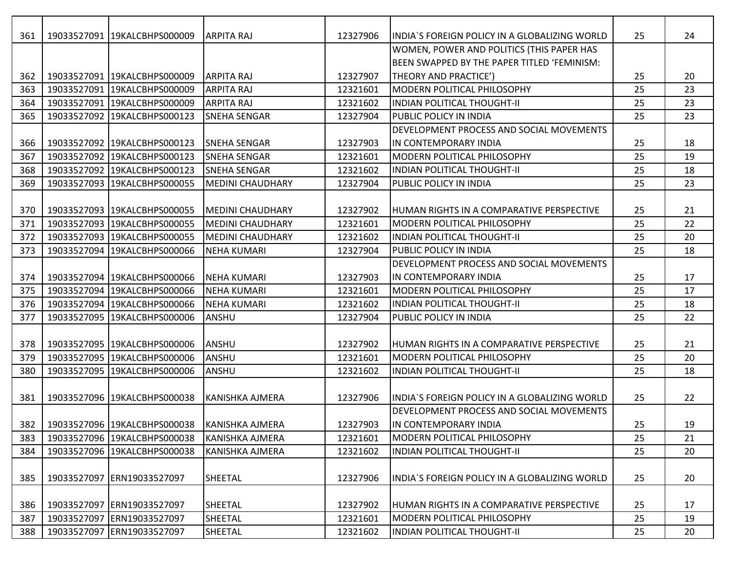| 361 | 19033527091 19KALCBHPS000009                           | <b>ARPITA RAJ</b>       | 12327906 | INDIA'S FOREIGN POLICY IN A GLOBALIZING WORLD    | 25 | 24 |
|-----|--------------------------------------------------------|-------------------------|----------|--------------------------------------------------|----|----|
|     |                                                        |                         |          | WOMEN, POWER AND POLITICS (THIS PAPER HAS        |    |    |
|     |                                                        |                         |          | BEEN SWAPPED BY THE PAPER TITLED 'FEMINISM:      |    |    |
| 362 | 19033527091 19KALCBHPS000009                           | <b>ARPITA RAJ</b>       | 12327907 | THEORY AND PRACTICE')                            | 25 | 20 |
| 363 | 19033527091 19KALCBHPS000009                           | <b>ARPITA RAJ</b>       | 12321601 | MODERN POLITICAL PHILOSOPHY                      | 25 | 23 |
| 364 | 19033527091 19KALCBHPS000009                           | <b>ARPITA RAJ</b>       | 12321602 | <b>INDIAN POLITICAL THOUGHT-II</b>               | 25 | 23 |
| 365 | 19033527092 19KALCBHPS000123                           | <b>SNEHA SENGAR</b>     | 12327904 | <b>PUBLIC POLICY IN INDIA</b>                    | 25 | 23 |
|     |                                                        |                         |          | DEVELOPMENT PROCESS AND SOCIAL MOVEMENTS         |    |    |
| 366 | 19033527092 19KALCBHPS000123                           | <b>SNEHA SENGAR</b>     | 12327903 | IN CONTEMPORARY INDIA                            | 25 | 18 |
| 367 | 19033527092 19KALCBHPS000123                           | <b>SNEHA SENGAR</b>     | 12321601 | MODERN POLITICAL PHILOSOPHY                      | 25 | 19 |
| 368 | 19033527092 19KALCBHPS000123                           | <b>SNEHA SENGAR</b>     | 12321602 | <b>INDIAN POLITICAL THOUGHT-II</b>               | 25 | 18 |
| 369 | 19033527093 19KALCBHPS000055                           | <b>MEDINI CHAUDHARY</b> | 12327904 | <b>PUBLIC POLICY IN INDIA</b>                    | 25 | 23 |
|     |                                                        |                         |          |                                                  |    |    |
| 370 | 19033527093 19KALCBHPS000055                           | <b>MEDINI CHAUDHARY</b> | 12327902 | IHUMAN RIGHTS IN A COMPARATIVE PERSPECTIVE       | 25 | 21 |
| 371 | 19033527093 19KALCBHPS000055                           | <b>MEDINI CHAUDHARY</b> | 12321601 | MODERN POLITICAL PHILOSOPHY                      | 25 | 22 |
| 372 | 19033527093 19KALCBHPS000055                           | <b>MEDINI CHAUDHARY</b> | 12321602 | <b>INDIAN POLITICAL THOUGHT-II</b>               | 25 | 20 |
| 373 | 19033527094 19KALCBHPS000066                           | <b>NEHA KUMARI</b>      | 12327904 | <b>PUBLIC POLICY IN INDIA</b>                    | 25 | 18 |
|     |                                                        |                         |          | DEVELOPMENT PROCESS AND SOCIAL MOVEMENTS         |    |    |
| 374 | 19033527094 19KALCBHPS000066                           | INEHA KUMARI            | 12327903 | IN CONTEMPORARY INDIA                            | 25 | 17 |
| 375 | 19033527094 19KALCBHPS000066                           | <b>NEHA KUMARI</b>      | 12321601 | MODERN POLITICAL PHILOSOPHY                      | 25 | 17 |
| 376 | 19033527094 19KALCBHPS000066                           | <b>NEHA KUMARI</b>      | 12321602 | <b>INDIAN POLITICAL THOUGHT-II</b>               | 25 | 18 |
| 377 | 19033527095 19KALCBHPS000006                           | ANSHU                   | 12327904 | PUBLIC POLICY IN INDIA                           | 25 | 22 |
|     |                                                        |                         |          |                                                  |    |    |
| 378 | 19033527095 19KALCBHPS000006                           | ANSHU                   | 12327902 | <b>HUMAN RIGHTS IN A COMPARATIVE PERSPECTIVE</b> | 25 | 21 |
| 379 | 19033527095 19KALCBHPS000006                           | ANSHU                   | 12321601 | MODERN POLITICAL PHILOSOPHY                      | 25 | 20 |
| 380 | 19033527095 19KALCBHPS000006                           | ANSHU                   | 12321602 | <b>INDIAN POLITICAL THOUGHT-II</b>               | 25 | 18 |
|     |                                                        |                         |          |                                                  |    |    |
| 381 | 19033527096 19KALCBHPS000038                           | KANISHKA AJMERA         | 12327906 | INDIA`S FOREIGN POLICY IN A GLOBALIZING WORLD    | 25 | 22 |
|     |                                                        |                         |          | DEVELOPMENT PROCESS AND SOCIAL MOVEMENTS         |    |    |
|     | 382   19033527096   19KALCBHPS000038   KANISHKA AJMERA |                         | 12327903 | IIN CONTEMPORARY INDIA                           | 25 | 19 |
| 383 | 19033527096 19KALCBHPS000038                           | <b>KANISHKA AJMERA</b>  | 12321601 | MODERN POLITICAL PHILOSOPHY                      | 25 | 21 |
| 384 | 19033527096 19KALCBHPS000038                           | <b>KANISHKA AJMERA</b>  | 12321602 | <b>INDIAN POLITICAL THOUGHT-II</b>               | 25 | 20 |
|     |                                                        |                         |          |                                                  |    |    |
| 385 | 19033527097 ERN19033527097                             | SHEETAL                 | 12327906 | INDIA`S FOREIGN POLICY IN A GLOBALIZING WORLD    | 25 | 20 |
|     |                                                        |                         |          |                                                  |    |    |
| 386 | 19033527097 ERN19033527097                             | <b>SHEETAL</b>          | 12327902 | HUMAN RIGHTS IN A COMPARATIVE PERSPECTIVE        | 25 | 17 |
| 387 | 19033527097 ERN19033527097                             | SHEETAL                 | 12321601 | MODERN POLITICAL PHILOSOPHY                      | 25 | 19 |
| 388 | 19033527097 ERN19033527097                             | SHEETAL                 | 12321602 | <b>INDIAN POLITICAL THOUGHT-II</b>               | 25 | 20 |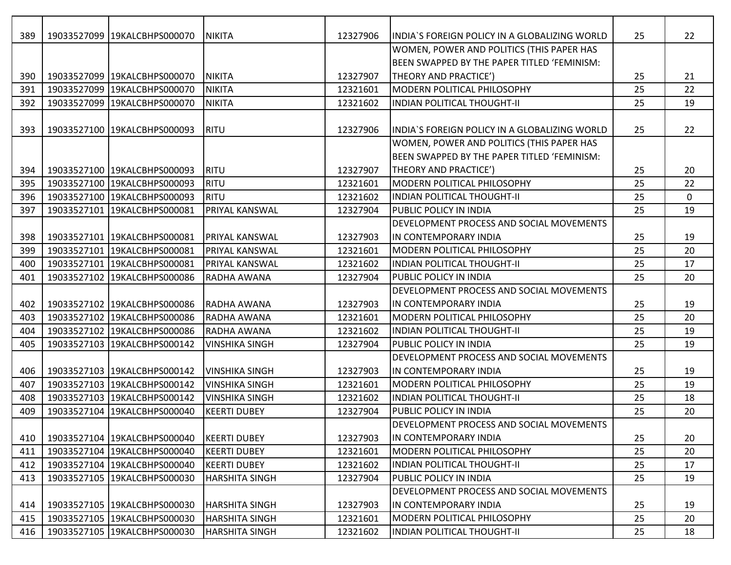| 389 | 19033527099 19KALCBHPS000070 | <b>NIKITA</b>         | 12327906 | INDIA'S FOREIGN POLICY IN A GLOBALIZING WORLD | 25 | 22 |
|-----|------------------------------|-----------------------|----------|-----------------------------------------------|----|----|
|     |                              |                       |          | WOMEN, POWER AND POLITICS (THIS PAPER HAS     |    |    |
|     |                              |                       |          | BEEN SWAPPED BY THE PAPER TITLED 'FEMINISM:   |    |    |
| 390 | 19033527099 19KALCBHPS000070 | <b>NIKITA</b>         | 12327907 | THEORY AND PRACTICE')                         | 25 | 21 |
| 391 | 19033527099 19KALCBHPS000070 | <b>NIKITA</b>         | 12321601 | MODERN POLITICAL PHILOSOPHY                   | 25 | 22 |
| 392 | 19033527099 19KALCBHPS000070 | <b>NIKITA</b>         | 12321602 | INDIAN POLITICAL THOUGHT-II                   | 25 | 19 |
|     |                              |                       |          |                                               |    |    |
| 393 | 19033527100 19KALCBHPS000093 | RITU                  | 12327906 | INDIA'S FOREIGN POLICY IN A GLOBALIZING WORLD | 25 | 22 |
|     |                              |                       |          | WOMEN, POWER AND POLITICS (THIS PAPER HAS     |    |    |
|     |                              |                       |          | BEEN SWAPPED BY THE PAPER TITLED 'FEMINISM:   |    |    |
| 394 | 19033527100 19KALCBHPS000093 | RITU                  | 12327907 | THEORY AND PRACTICE')                         | 25 | 20 |
| 395 | 19033527100 19KALCBHPS000093 | <b>RITU</b>           | 12321601 | MODERN POLITICAL PHILOSOPHY                   | 25 | 22 |
| 396 | 19033527100 19KALCBHPS000093 | <b>RITU</b>           | 12321602 | <b>INDIAN POLITICAL THOUGHT-II</b>            | 25 | 0  |
| 397 | 19033527101 19KALCBHPS000081 | PRIYAL KANSWAL        | 12327904 | <b>PUBLIC POLICY IN INDIA</b>                 | 25 | 19 |
|     |                              |                       |          | DEVELOPMENT PROCESS AND SOCIAL MOVEMENTS      |    |    |
| 398 | 19033527101 19KALCBHPS000081 | <b>PRIYAL KANSWAL</b> | 12327903 | IN CONTEMPORARY INDIA                         | 25 | 19 |
| 399 | 19033527101 19KALCBHPS000081 | PRIYAL KANSWAL        | 12321601 | MODERN POLITICAL PHILOSOPHY                   | 25 | 20 |
| 400 | 19033527101 19KALCBHPS000081 | <b>PRIYAL KANSWAL</b> | 12321602 | IINDIAN POLITICAL THOUGHT-II                  | 25 | 17 |
| 401 | 19033527102 19KALCBHPS000086 | RADHA AWANA           | 12327904 | <b>PUBLIC POLICY IN INDIA</b>                 | 25 | 20 |
|     |                              |                       |          | DEVELOPMENT PROCESS AND SOCIAL MOVEMENTS      |    |    |
| 402 | 19033527102 19KALCBHPS000086 | RADHA AWANA           | 12327903 | IN CONTEMPORARY INDIA                         | 25 | 19 |
| 403 | 19033527102 19KALCBHPS000086 | RADHA AWANA           | 12321601 | MODERN POLITICAL PHILOSOPHY                   | 25 | 20 |
| 404 | 19033527102 19KALCBHPS000086 | RADHA AWANA           | 12321602 | INDIAN POLITICAL THOUGHT-II                   | 25 | 19 |
| 405 | 19033527103 19KALCBHPS000142 | <b>VINSHIKA SINGH</b> | 12327904 | <b>PUBLIC POLICY IN INDIA</b>                 | 25 | 19 |
|     |                              |                       |          | DEVELOPMENT PROCESS AND SOCIAL MOVEMENTS      |    |    |
| 406 | 19033527103 19KALCBHPS000142 | <b>VINSHIKA SINGH</b> | 12327903 | IN CONTEMPORARY INDIA                         | 25 | 19 |
| 407 | 19033527103 19KALCBHPS000142 | <b>VINSHIKA SINGH</b> | 12321601 | <b>MODERN POLITICAL PHILOSOPHY</b>            | 25 | 19 |
| 408 | 19033527103 19KALCBHPS000142 | <b>VINSHIKA SINGH</b> | 12321602 | <b>INDIAN POLITICAL THOUGHT-II</b>            | 25 | 18 |
| 409 | 19033527104 19KALCBHPS000040 | <b>KEERTI DUBEY</b>   | 12327904 | PUBLIC POLICY IN INDIA                        | 25 | 20 |
|     |                              |                       |          | DEVELOPMENT PROCESS AND SOCIAL MOVEMENTS      |    |    |
| 410 | 19033527104 19KALCBHPS000040 | <b>KEERTI DUBEY</b>   | 12327903 | IIN CONTEMPORARY INDIA                        | 25 | 20 |
| 411 | 19033527104 19KALCBHPS000040 | <b>KEERTI DUBEY</b>   | 12321601 | <b>MODERN POLITICAL PHILOSOPHY</b>            | 25 | 20 |
| 412 | 19033527104 19KALCBHPS000040 | <b>KEERTI DUBEY</b>   | 12321602 | INDIAN POLITICAL THOUGHT-II                   | 25 | 17 |
| 413 | 19033527105 19KALCBHPS000030 | <b>HARSHITA SINGH</b> | 12327904 | <b>PUBLIC POLICY IN INDIA</b>                 | 25 | 19 |
|     |                              |                       |          | DEVELOPMENT PROCESS AND SOCIAL MOVEMENTS      |    |    |
| 414 | 19033527105 19KALCBHPS000030 | HARSHITA SINGH        | 12327903 | IIN CONTEMPORARY INDIA                        | 25 | 19 |
| 415 | 19033527105 19KALCBHPS000030 | <b>HARSHITA SINGH</b> | 12321601 | <b>IMODERN POLITICAL PHILOSOPHY</b>           | 25 | 20 |
| 416 | 19033527105 19KALCBHPS000030 | <b>HARSHITA SINGH</b> | 12321602 | <b>INDIAN POLITICAL THOUGHT-II</b>            | 25 | 18 |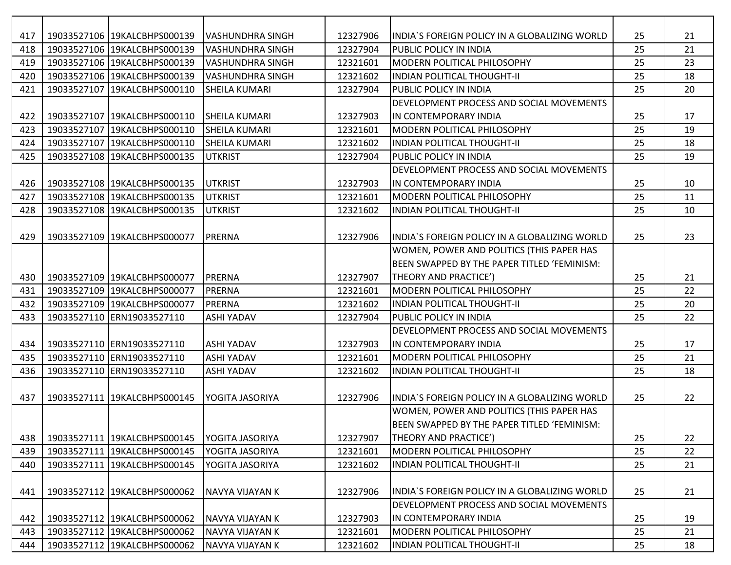| 417 | 19033527106 19KALCBHPS000139 | VASHUNDHRA SINGH        | 12327906 | IINDIA`S FOREIGN POLICY IN A GLOBALIZING WORLD | 25 | 21 |
|-----|------------------------------|-------------------------|----------|------------------------------------------------|----|----|
| 418 | 19033527106 19KALCBHPS000139 | <b>VASHUNDHRA SINGH</b> | 12327904 | <b>PUBLIC POLICY IN INDIA</b>                  | 25 | 21 |
| 419 | 19033527106 19KALCBHPS000139 | <b>VASHUNDHRA SINGH</b> | 12321601 | <b>IMODERN POLITICAL PHILOSOPHY</b>            | 25 | 23 |
| 420 | 19033527106 19KALCBHPS000139 | <b>VASHUNDHRA SINGH</b> | 12321602 | <b>INDIAN POLITICAL THOUGHT-II</b>             | 25 | 18 |
| 421 | 19033527107 19KALCBHPS000110 | <b>SHEILA KUMARI</b>    | 12327904 | PUBLIC POLICY IN INDIA                         | 25 | 20 |
|     |                              |                         |          | DEVELOPMENT PROCESS AND SOCIAL MOVEMENTS       |    |    |
| 422 | 19033527107 19KALCBHPS000110 | <b>SHEILA KUMARI</b>    | 12327903 | IN CONTEMPORARY INDIA                          | 25 | 17 |
| 423 | 19033527107 19KALCBHPS000110 | <b>SHEILA KUMARI</b>    | 12321601 | <b>IMODERN POLITICAL PHILOSOPHY</b>            | 25 | 19 |
| 424 | 19033527107 19KALCBHPS000110 | <b>SHEILA KUMARI</b>    | 12321602 | <b>INDIAN POLITICAL THOUGHT-II</b>             | 25 | 18 |
| 425 | 19033527108 19KALCBHPS000135 | <b>UTKRIST</b>          | 12327904 | <b>PUBLIC POLICY IN INDIA</b>                  | 25 | 19 |
|     |                              |                         |          | DEVELOPMENT PROCESS AND SOCIAL MOVEMENTS       |    |    |
| 426 | 19033527108 19KALCBHPS000135 | <b>UTKRIST</b>          | 12327903 | IN CONTEMPORARY INDIA                          | 25 | 10 |
| 427 | 19033527108 19KALCBHPS000135 | <b>UTKRIST</b>          | 12321601 | MODERN POLITICAL PHILOSOPHY                    | 25 | 11 |
| 428 | 19033527108 19KALCBHPS000135 | <b>UTKRIST</b>          | 12321602 | <b>INDIAN POLITICAL THOUGHT-II</b>             | 25 | 10 |
|     |                              |                         |          |                                                |    |    |
| 429 | 19033527109 19KALCBHPS000077 | <b>PRERNA</b>           | 12327906 | INDIA'S FOREIGN POLICY IN A GLOBALIZING WORLD  | 25 | 23 |
|     |                              |                         |          | WOMEN, POWER AND POLITICS (THIS PAPER HAS      |    |    |
|     |                              |                         |          | BEEN SWAPPED BY THE PAPER TITLED 'FEMINISM:    |    |    |
| 430 | 19033527109 19KALCBHPS000077 | PRERNA                  | 12327907 | THEORY AND PRACTICE')                          | 25 | 21 |
| 431 | 19033527109 19KALCBHPS000077 | <b>PRERNA</b>           | 12321601 | MODERN POLITICAL PHILOSOPHY                    | 25 | 22 |
| 432 | 19033527109 19KALCBHPS000077 | <b>PRERNA</b>           | 12321602 | <b>INDIAN POLITICAL THOUGHT-II</b>             | 25 | 20 |
| 433 | 19033527110 ERN19033527110   | <b>ASHI YADAV</b>       | 12327904 | <b>PUBLIC POLICY IN INDIA</b>                  | 25 | 22 |
|     |                              |                         |          | DEVELOPMENT PROCESS AND SOCIAL MOVEMENTS       |    |    |
| 434 | 19033527110 ERN19033527110   | <b>ASHI YADAV</b>       | 12327903 | IN CONTEMPORARY INDIA                          | 25 | 17 |
| 435 | 19033527110 ERN19033527110   | <b>ASHI YADAV</b>       | 12321601 | MODERN POLITICAL PHILOSOPHY                    | 25 | 21 |
| 436 | 19033527110 ERN19033527110   | <b>ASHI YADAV</b>       | 12321602 | <b>INDIAN POLITICAL THOUGHT-II</b>             | 25 | 18 |
|     |                              |                         |          |                                                |    |    |
| 437 | 19033527111 19KALCBHPS000145 | YOGITA JASORIYA         | 12327906 | INDIA`S FOREIGN POLICY IN A GLOBALIZING WORLD  | 25 | 22 |
|     |                              |                         |          | WOMEN, POWER AND POLITICS (THIS PAPER HAS      |    |    |
|     |                              |                         |          | BEEN SWAPPED BY THE PAPER TITLED 'FEMINISM:    |    |    |
| 438 | 19033527111 19KALCBHPS000145 | YOGITA JASORIYA         | 12327907 | THEORY AND PRACTICE')                          | 25 | 22 |
| 439 | 19033527111 19KALCBHPS000145 | YOGITA JASORIYA         | 12321601 | MODERN POLITICAL PHILOSOPHY                    | 25 | 22 |
| 440 | 19033527111 19KALCBHPS000145 | YOGITA JASORIYA         | 12321602 | <b>INDIAN POLITICAL THOUGHT-II</b>             | 25 | 21 |
|     |                              |                         |          |                                                |    |    |
| 441 | 19033527112 19KALCBHPS000062 | NAVYA VIJAYAN K         | 12327906 | INDIA`S FOREIGN POLICY IN A GLOBALIZING WORLD  | 25 | 21 |
|     |                              |                         |          | DEVELOPMENT PROCESS AND SOCIAL MOVEMENTS       |    |    |
| 442 | 19033527112 19KALCBHPS000062 | NAVYA VIJAYAN K         | 12327903 | IN CONTEMPORARY INDIA                          | 25 | 19 |
| 443 | 19033527112 19KALCBHPS000062 | NAVYA VIJAYAN K         | 12321601 | MODERN POLITICAL PHILOSOPHY                    | 25 | 21 |
| 444 | 19033527112 19KALCBHPS000062 | NAVYA VIJAYAN K         | 12321602 | <b>INDIAN POLITICAL THOUGHT-II</b>             | 25 | 18 |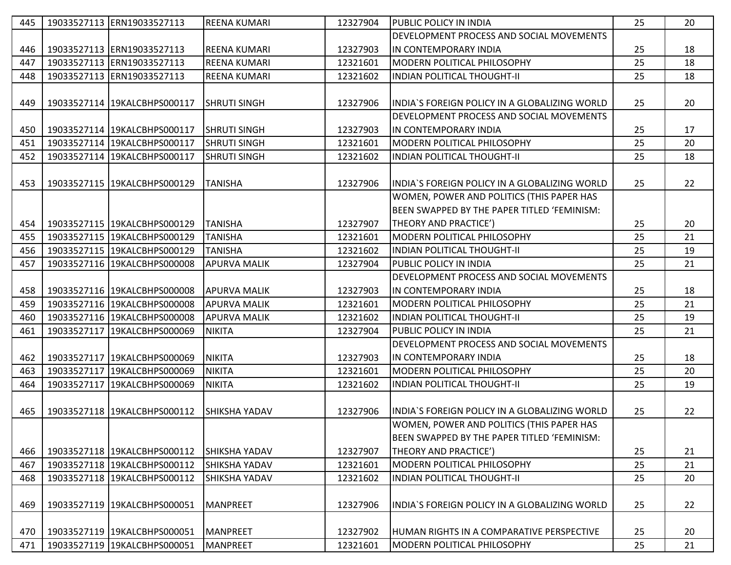| 445 | 19033527113 ERN19033527113   | <b>REENA KUMARI</b>  | 12327904 | <b>PUBLIC POLICY IN INDIA</b>                  | 25 | 20 |
|-----|------------------------------|----------------------|----------|------------------------------------------------|----|----|
|     |                              |                      |          | DEVELOPMENT PROCESS AND SOCIAL MOVEMENTS       |    |    |
| 446 | 19033527113 ERN19033527113   | <b>REENA KUMARI</b>  | 12327903 | IN CONTEMPORARY INDIA                          | 25 | 18 |
| 447 | 19033527113 ERN19033527113   | <b>REENA KUMARI</b>  | 12321601 | MODERN POLITICAL PHILOSOPHY                    | 25 | 18 |
| 448 | 19033527113 ERN19033527113   | <b>REENA KUMARI</b>  | 12321602 | <b>INDIAN POLITICAL THOUGHT-II</b>             | 25 | 18 |
|     |                              |                      |          |                                                |    |    |
| 449 | 19033527114 19KALCBHPS000117 | <b>SHRUTI SINGH</b>  | 12327906 | IINDIA`S FOREIGN POLICY IN A GLOBALIZING WORLD | 25 | 20 |
|     |                              |                      |          | DEVELOPMENT PROCESS AND SOCIAL MOVEMENTS       |    |    |
| 450 | 19033527114 19KALCBHPS000117 | <b>SHRUTI SINGH</b>  | 12327903 | IIN CONTEMPORARY INDIA                         | 25 | 17 |
| 451 | 19033527114 19KALCBHPS000117 | <b>SHRUTI SINGH</b>  | 12321601 | MODERN POLITICAL PHILOSOPHY                    | 25 | 20 |
| 452 | 19033527114 19KALCBHPS000117 | <b>SHRUTI SINGH</b>  | 12321602 | INDIAN POLITICAL THOUGHT-II                    | 25 | 18 |
|     |                              |                      |          |                                                |    |    |
| 453 | 19033527115 19KALCBHPS000129 | <b>TANISHA</b>       | 12327906 | INDIA`S FOREIGN POLICY IN A GLOBALIZING WORLD  | 25 | 22 |
|     |                              |                      |          | WOMEN, POWER AND POLITICS (THIS PAPER HAS      |    |    |
|     |                              |                      |          | BEEN SWAPPED BY THE PAPER TITLED 'FEMINISM:    |    |    |
| 454 | 19033527115 19KALCBHPS000129 | <b>TANISHA</b>       | 12327907 | <b>THEORY AND PRACTICE')</b>                   | 25 | 20 |
| 455 | 19033527115 19KALCBHPS000129 | <b>TANISHA</b>       | 12321601 | <b>MODERN POLITICAL PHILOSOPHY</b>             | 25 | 21 |
| 456 | 19033527115 19KALCBHPS000129 | <b>TANISHA</b>       | 12321602 | <b>INDIAN POLITICAL THOUGHT-II</b>             | 25 | 19 |
| 457 | 19033527116 19KALCBHPS000008 | <b>APURVA MALIK</b>  | 12327904 | <b>PUBLIC POLICY IN INDIA</b>                  | 25 | 21 |
|     |                              |                      |          | DEVELOPMENT PROCESS AND SOCIAL MOVEMENTS       |    |    |
| 458 | 19033527116 19KALCBHPS000008 | <b>APURVA MALIK</b>  | 12327903 | IIN CONTEMPORARY INDIA                         | 25 | 18 |
| 459 | 19033527116 19KALCBHPS000008 | <b>APURVA MALIK</b>  | 12321601 | <b>IMODERN POLITICAL PHILOSOPHY</b>            | 25 | 21 |
| 460 | 19033527116 19KALCBHPS000008 | <b>APURVA MALIK</b>  | 12321602 | <b>INDIAN POLITICAL THOUGHT-II</b>             | 25 | 19 |
| 461 | 19033527117 19KALCBHPS000069 | <b>NIKITA</b>        | 12327904 | <b>PUBLIC POLICY IN INDIA</b>                  | 25 | 21 |
|     |                              |                      |          | DEVELOPMENT PROCESS AND SOCIAL MOVEMENTS       |    |    |
| 462 | 19033527117 19KALCBHPS000069 | <b>NIKITA</b>        | 12327903 | IN CONTEMPORARY INDIA                          | 25 | 18 |
| 463 | 19033527117 19KALCBHPS000069 | <b>NIKITA</b>        | 12321601 | MODERN POLITICAL PHILOSOPHY                    | 25 | 20 |
| 464 | 19033527117 19KALCBHPS000069 | <b>NIKITA</b>        | 12321602 | <b>INDIAN POLITICAL THOUGHT-II</b>             | 25 | 19 |
|     |                              |                      |          |                                                |    |    |
| 465 | 19033527118 19KALCBHPS000112 | <b>SHIKSHA YADAV</b> | 12327906 | IINDIA`S FOREIGN POLICY IN A GLOBALIZING WORLD | 25 | 22 |
|     |                              |                      |          | WOMEN, POWER AND POLITICS (THIS PAPER HAS      |    |    |
|     |                              |                      |          | BEEN SWAPPED BY THE PAPER TITLED 'FEMINISM:    |    |    |
| 466 | 19033527118 19KALCBHPS000112 | <b>SHIKSHA YADAV</b> | 12327907 | <b>THEORY AND PRACTICE')</b>                   | 25 | 21 |
| 467 | 19033527118 19KALCBHPS000112 | <b>SHIKSHA YADAV</b> | 12321601 | MODERN POLITICAL PHILOSOPHY                    | 25 | 21 |
| 468 | 19033527118 19KALCBHPS000112 | <b>SHIKSHA YADAV</b> | 12321602 | INDIAN POLITICAL THOUGHT-II                    | 25 | 20 |
|     |                              |                      |          |                                                |    |    |
| 469 | 19033527119 19KALCBHPS000051 | <b>MANPREET</b>      | 12327906 | INDIA'S FOREIGN POLICY IN A GLOBALIZING WORLD  | 25 | 22 |
|     |                              |                      |          |                                                |    |    |
| 470 | 19033527119 19KALCBHPS000051 | <b>MANPREET</b>      | 12327902 | HUMAN RIGHTS IN A COMPARATIVE PERSPECTIVE      | 25 | 20 |
| 471 | 19033527119 19KALCBHPS000051 | <b>MANPREET</b>      | 12321601 | <b>MODERN POLITICAL PHILOSOPHY</b>             | 25 | 21 |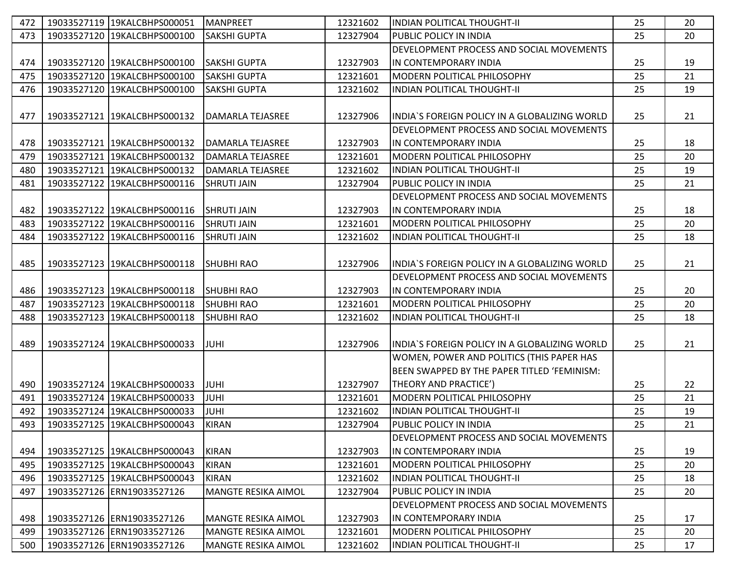| 472 | 19033527119 19KALCBHPS000051 | <b>MANPREET</b>            | 12321602 | INDIAN POLITICAL THOUGHT-II                    | 25 | 20 |
|-----|------------------------------|----------------------------|----------|------------------------------------------------|----|----|
| 473 | 19033527120 19KALCBHPS000100 | <b>SAKSHI GUPTA</b>        | 12327904 | <b>PUBLIC POLICY IN INDIA</b>                  | 25 | 20 |
|     |                              |                            |          | DEVELOPMENT PROCESS AND SOCIAL MOVEMENTS       |    |    |
| 474 | 19033527120 19KALCBHPS000100 | <b>SAKSHI GUPTA</b>        | 12327903 | IIN CONTEMPORARY INDIA                         | 25 | 19 |
| 475 | 19033527120 19KALCBHPS000100 | <b>SAKSHI GUPTA</b>        | 12321601 | <b>MODERN POLITICAL PHILOSOPHY</b>             | 25 | 21 |
| 476 | 19033527120 19KALCBHPS000100 | <b>SAKSHI GUPTA</b>        | 12321602 | <b>INDIAN POLITICAL THOUGHT-II</b>             | 25 | 19 |
|     |                              |                            |          |                                                |    |    |
| 477 | 19033527121 19KALCBHPS000132 | DAMARLA TEJASREE           | 12327906 | INDIA`S FOREIGN POLICY IN A GLOBALIZING WORLD  | 25 | 21 |
|     |                              |                            |          | DEVELOPMENT PROCESS AND SOCIAL MOVEMENTS       |    |    |
| 478 | 19033527121 19KALCBHPS000132 | <b>DAMARLA TEJASREE</b>    | 12327903 | IN CONTEMPORARY INDIA                          | 25 | 18 |
| 479 | 19033527121 19KALCBHPS000132 | DAMARLA TEJASREE           | 12321601 | MODERN POLITICAL PHILOSOPHY                    | 25 | 20 |
| 480 | 19033527121 19KALCBHPS000132 | <b>DAMARLA TEJASREE</b>    | 12321602 | <b>INDIAN POLITICAL THOUGHT-II</b>             | 25 | 19 |
| 481 | 19033527122 19KALCBHPS000116 | <b>SHRUTI JAIN</b>         | 12327904 | PUBLIC POLICY IN INDIA                         | 25 | 21 |
|     |                              |                            |          | DEVELOPMENT PROCESS AND SOCIAL MOVEMENTS       |    |    |
| 482 | 19033527122 19KALCBHPS000116 | <b>SHRUTI JAIN</b>         | 12327903 | IN CONTEMPORARY INDIA                          | 25 | 18 |
| 483 | 19033527122 19KALCBHPS000116 | <b>SHRUTI JAIN</b>         | 12321601 | IMODERN POLITICAL PHILOSOPHY                   | 25 | 20 |
| 484 | 19033527122 19KALCBHPS000116 | <b>SHRUTI JAIN</b>         | 12321602 | <b>INDIAN POLITICAL THOUGHT-II</b>             | 25 | 18 |
|     |                              |                            |          |                                                |    |    |
| 485 | 19033527123 19KALCBHPS000118 | <b>SHUBHI RAO</b>          | 12327906 | INDIA'S FOREIGN POLICY IN A GLOBALIZING WORLD  | 25 | 21 |
|     |                              |                            |          | DEVELOPMENT PROCESS AND SOCIAL MOVEMENTS       |    |    |
| 486 | 19033527123 19KALCBHPS000118 | <b>SHUBHI RAO</b>          | 12327903 | IIN CONTEMPORARY INDIA                         | 25 | 20 |
| 487 | 19033527123 19KALCBHPS000118 | <b>SHUBHI RAO</b>          | 12321601 | MODERN POLITICAL PHILOSOPHY                    | 25 | 20 |
| 488 | 19033527123 19KALCBHPS000118 | <b>SHUBHI RAO</b>          | 12321602 | <b>INDIAN POLITICAL THOUGHT-II</b>             | 25 | 18 |
|     |                              |                            |          |                                                |    |    |
| 489 | 19033527124 19KALCBHPS000033 | <b>JUHI</b>                | 12327906 | IINDIA`S FOREIGN POLICY IN A GLOBALIZING WORLD | 25 | 21 |
|     |                              |                            |          | WOMEN, POWER AND POLITICS (THIS PAPER HAS      |    |    |
|     |                              |                            |          | BEEN SWAPPED BY THE PAPER TITLED 'FEMINISM:    |    |    |
| 490 | 19033527124 19KALCBHPS000033 | <b>JUHI</b>                | 12327907 | <b>THEORY AND PRACTICE')</b>                   | 25 | 22 |
| 491 | 19033527124 19KALCBHPS000033 | <b>JUHI</b>                | 12321601 | MODERN POLITICAL PHILOSOPHY                    | 25 | 21 |
| 492 | 19033527124 19KALCBHPS000033 | <b>JUHI</b>                | 12321602 | <b>INDIAN POLITICAL THOUGHT-II</b>             | 25 | 19 |
| 493 | 19033527125 19KALCBHPS000043 | <b>KIRAN</b>               | 12327904 | <b>PUBLIC POLICY IN INDIA</b>                  | 25 | 21 |
|     |                              |                            |          | DEVELOPMENT PROCESS AND SOCIAL MOVEMENTS       |    |    |
| 494 | 19033527125 19KALCBHPS000043 | <b>KIRAN</b>               | 12327903 | IIN CONTEMPORARY INDIA                         | 25 | 19 |
| 495 | 19033527125 19KALCBHPS000043 | <b>KIRAN</b>               | 12321601 | IMODERN POLITICAL PHILOSOPHY                   | 25 | 20 |
| 496 | 19033527125 19KALCBHPS000043 | <b>KIRAN</b>               | 12321602 | <b>INDIAN POLITICAL THOUGHT-II</b>             | 25 | 18 |
| 497 | 19033527126 ERN19033527126   | <b>MANGTE RESIKA AIMOL</b> | 12327904 | PUBLIC POLICY IN INDIA                         | 25 | 20 |
|     |                              |                            |          | DEVELOPMENT PROCESS AND SOCIAL MOVEMENTS       |    |    |
| 498 | 19033527126 ERN19033527126   | <b>MANGTE RESIKA AIMOL</b> | 12327903 | IN CONTEMPORARY INDIA                          | 25 | 17 |
| 499 | 19033527126 ERN19033527126   | <b>MANGTE RESIKA AIMOL</b> | 12321601 | MODERN POLITICAL PHILOSOPHY                    | 25 | 20 |
| 500 | 19033527126 ERN19033527126   | <b>MANGTE RESIKA AIMOL</b> | 12321602 | <b>INDIAN POLITICAL THOUGHT-II</b>             | 25 | 17 |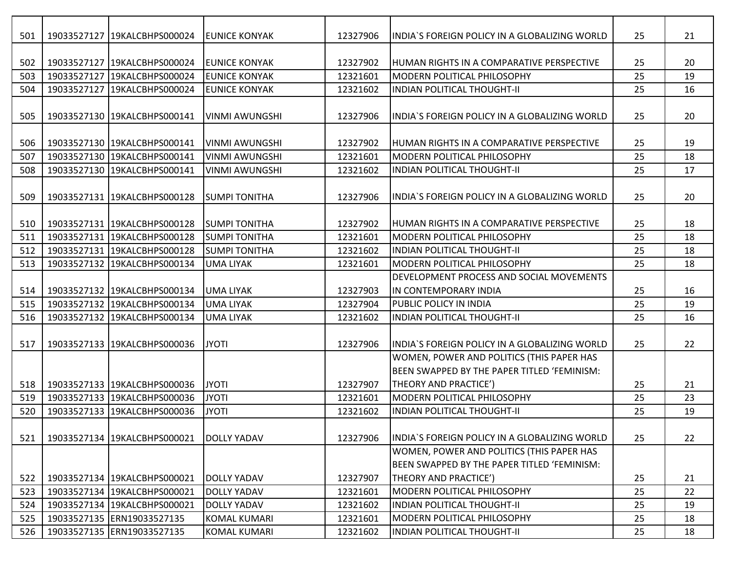| 501 | 19033527127 19KALCBHPS000024 | IEUNICE KONYAK        | 12327906 | IINDIA'S FOREIGN POLICY IN A GLOBALIZING WORLD                                           | 25 | 21 |
|-----|------------------------------|-----------------------|----------|------------------------------------------------------------------------------------------|----|----|
|     |                              |                       |          |                                                                                          |    |    |
| 502 | 19033527127 19KALCBHPS000024 | <b>EUNICE KONYAK</b>  | 12327902 | <b>IHUMAN RIGHTS IN A COMPARATIVE PERSPECTIVE</b>                                        | 25 | 20 |
| 503 | 19033527127 19KALCBHPS000024 | <b>EUNICE KONYAK</b>  | 12321601 | <b>IMODERN POLITICAL PHILOSOPHY</b>                                                      | 25 | 19 |
| 504 | 19033527127 19KALCBHPS000024 | <b>EUNICE KONYAK</b>  | 12321602 | <b>INDIAN POLITICAL THOUGHT-II</b>                                                       | 25 | 16 |
| 505 | 19033527130 19KALCBHPS000141 | VINMI AWUNGSHI        | 12327906 | INDIA'S FOREIGN POLICY IN A GLOBALIZING WORLD                                            | 25 | 20 |
| 506 | 19033527130 19KALCBHPS000141 | VINMI AWUNGSHI        | 12327902 | <b>IHUMAN RIGHTS IN A COMPARATIVE PERSPECTIVE</b>                                        | 25 | 19 |
| 507 | 19033527130 19KALCBHPS000141 | <b>VINMI AWUNGSHI</b> | 12321601 | <b>MODERN POLITICAL PHILOSOPHY</b>                                                       | 25 | 18 |
| 508 | 19033527130 19KALCBHPS000141 | <b>VINMI AWUNGSHI</b> | 12321602 | <b>INDIAN POLITICAL THOUGHT-II</b>                                                       | 25 | 17 |
| 509 | 19033527131 19KALCBHPS000128 | <b>SUMPI TONITHA</b>  | 12327906 | IINDIA'S FOREIGN POLICY IN A GLOBALIZING WORLD                                           | 25 | 20 |
| 510 | 19033527131 19KALCBHPS000128 | <b>SUMPI TONITHA</b>  | 12327902 | HUMAN RIGHTS IN A COMPARATIVE PERSPECTIVE                                                | 25 | 18 |
| 511 | 19033527131 19KALCBHPS000128 | <b>SUMPI TONITHA</b>  | 12321601 | <b>IMODERN POLITICAL PHILOSOPHY</b>                                                      | 25 | 18 |
| 512 | 19033527131 19KALCBHPS000128 | <b>SUMPI TONITHA</b>  | 12321602 | <b>INDIAN POLITICAL THOUGHT-II</b>                                                       | 25 | 18 |
| 513 | 19033527132 19KALCBHPS000134 | <b>UMA LIYAK</b>      | 12321601 | <b>MODERN POLITICAL PHILOSOPHY</b>                                                       | 25 | 18 |
|     |                              |                       |          | <b>IDEVELOPMENT PROCESS AND SOCIAL MOVEMENTS</b>                                         |    |    |
| 514 | 19033527132 19KALCBHPS000134 | <b>UMA LIYAK</b>      | 12327903 | <b>IIN CONTEMPORARY INDIA</b>                                                            | 25 | 16 |
| 515 | 19033527132 19KALCBHPS000134 | <b>UMA LIYAK</b>      | 12327904 | <b>PUBLIC POLICY IN INDIA</b>                                                            | 25 | 19 |
| 516 | 19033527132 19KALCBHPS000134 | <b>UMA LIYAK</b>      | 12321602 | <b>INDIAN POLITICAL THOUGHT-II</b>                                                       | 25 | 16 |
| 517 | 19033527133 19KALCBHPS000036 | <b>JYOTI</b>          | 12327906 | INDIA'S FOREIGN POLICY IN A GLOBALIZING WORLD                                            | 25 | 22 |
|     |                              |                       |          | WOMEN, POWER AND POLITICS (THIS PAPER HAS<br>BEEN SWAPPED BY THE PAPER TITLED 'FEMINISM: |    |    |
| 518 | 19033527133 19KALCBHPS000036 | <b>JYOTI</b>          | 12327907 | <b>THEORY AND PRACTICE')</b>                                                             | 25 | 21 |
| 519 | 19033527133 19KALCBHPS000036 | <b>JYOTI</b>          | 12321601 | MODERN POLITICAL PHILOSOPHY                                                              | 25 | 23 |
| 520 | 19033527133 19KALCBHPS000036 | <b>JYOTI</b>          | 12321602 | IINDIAN POLITICAL THOUGHT-II                                                             | 25 | 19 |
| 521 | 19033527134 19KALCBHPS000021 | <b>DOLLY YADAV</b>    | 12327906 | INDIA'S FOREIGN POLICY IN A GLOBALIZING WORLD                                            | 25 | 22 |
|     |                              |                       |          | WOMEN, POWER AND POLITICS (THIS PAPER HAS<br>BEEN SWAPPED BY THE PAPER TITLED 'FEMINISM: |    |    |
| 522 | 19033527134 19KALCBHPS000021 | <b>DOLLY YADAV</b>    | 12327907 | THEORY AND PRACTICE')                                                                    | 25 | 21 |
| 523 | 19033527134 19KALCBHPS000021 | <b>DOLLY YADAV</b>    | 12321601 | MODERN POLITICAL PHILOSOPHY                                                              | 25 | 22 |
| 524 | 19033527134 19KALCBHPS000021 | <b>DOLLY YADAV</b>    | 12321602 | <b>INDIAN POLITICAL THOUGHT-II</b>                                                       | 25 | 19 |
| 525 | 19033527135 ERN19033527135   | <b>KOMAL KUMARI</b>   | 12321601 | MODERN POLITICAL PHILOSOPHY                                                              | 25 | 18 |
| 526 | 19033527135 ERN19033527135   | <b>KOMAL KUMARI</b>   | 12321602 | <b>INDIAN POLITICAL THOUGHT-II</b>                                                       | 25 | 18 |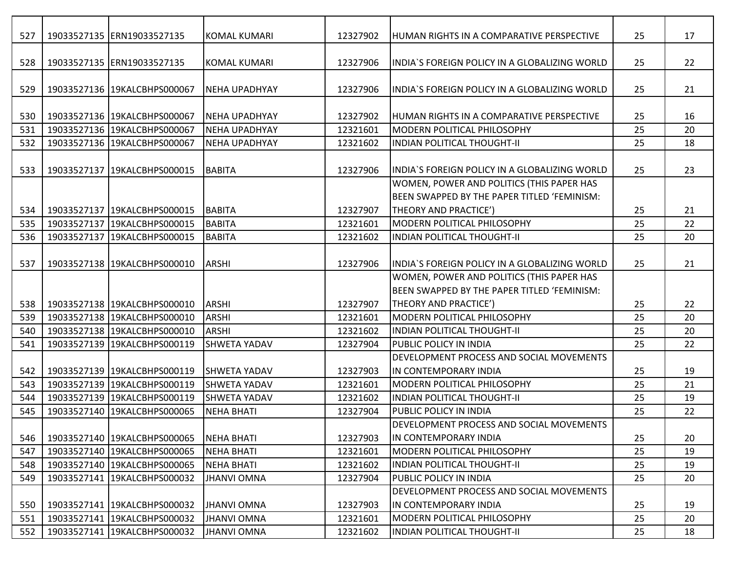| 527 | 19033527135 ERN19033527135   | <b>KOMAL KUMARI</b>  | 12327902 | HUMAN RIGHTS IN A COMPARATIVE PERSPECTIVE        | 25 | 17 |
|-----|------------------------------|----------------------|----------|--------------------------------------------------|----|----|
| 528 | 19033527135 ERN19033527135   | <b>KOMAL KUMARI</b>  | 12327906 | IINDIA'S FOREIGN POLICY IN A GLOBALIZING WORLD   | 25 | 22 |
| 529 | 19033527136 19KALCBHPS000067 | <b>NEHA UPADHYAY</b> | 12327906 | INDIA'S FOREIGN POLICY IN A GLOBALIZING WORLD    | 25 | 21 |
|     |                              |                      |          |                                                  |    |    |
| 530 | 19033527136 19KALCBHPS000067 | <b>NEHA UPADHYAY</b> | 12327902 | <b>HUMAN RIGHTS IN A COMPARATIVE PERSPECTIVE</b> | 25 | 16 |
| 531 | 19033527136 19KALCBHPS000067 | <b>NEHA UPADHYAY</b> | 12321601 | <b>IMODERN POLITICAL PHILOSOPHY</b>              | 25 | 20 |
| 532 | 19033527136 19KALCBHPS000067 | <b>NEHA UPADHYAY</b> | 12321602 | <b>INDIAN POLITICAL THOUGHT-II</b>               | 25 | 18 |
| 533 | 19033527137 19KALCBHPS000015 | <b>BABITA</b>        | 12327906 | INDIA'S FOREIGN POLICY IN A GLOBALIZING WORLD    | 25 | 23 |
|     |                              |                      |          | WOMEN, POWER AND POLITICS (THIS PAPER HAS        |    |    |
|     |                              |                      |          | BEEN SWAPPED BY THE PAPER TITLED 'FEMINISM:      |    |    |
| 534 | 19033527137 19KALCBHPS000015 | <b>BABITA</b>        | 12327907 | THEORY AND PRACTICE')                            | 25 | 21 |
| 535 | 19033527137 19KALCBHPS000015 | <b>BABITA</b>        | 12321601 | <b>IMODERN POLITICAL PHILOSOPHY</b>              | 25 | 22 |
| 536 | 19033527137 19KALCBHPS000015 | <b>BABITA</b>        | 12321602 | <b>INDIAN POLITICAL THOUGHT-II</b>               | 25 | 20 |
|     |                              |                      |          |                                                  |    |    |
| 537 | 19033527138 19KALCBHPS000010 | <b>ARSHI</b>         | 12327906 | INDIA'S FOREIGN POLICY IN A GLOBALIZING WORLD    | 25 | 21 |
|     |                              |                      |          | WOMEN, POWER AND POLITICS (THIS PAPER HAS        |    |    |
|     |                              |                      |          | BEEN SWAPPED BY THE PAPER TITLED 'FEMINISM:      |    |    |
| 538 | 19033527138 19KALCBHPS000010 | <b>ARSHI</b>         | 12327907 | THEORY AND PRACTICE')                            | 25 | 22 |
| 539 | 19033527138 19KALCBHPS000010 | <b>ARSHI</b>         | 12321601 | <b>MODERN POLITICAL PHILOSOPHY</b>               | 25 | 20 |
| 540 | 19033527138 19KALCBHPS000010 | ARSHI                | 12321602 | <b>INDIAN POLITICAL THOUGHT-II</b>               | 25 | 20 |
| 541 | 19033527139 19KALCBHPS000119 | SHWETA YADAV         | 12327904 | <b>PUBLIC POLICY IN INDIA</b>                    | 25 | 22 |
|     |                              |                      |          | <b>IDEVELOPMENT PROCESS AND SOCIAL MOVEMENTS</b> |    |    |
| 542 | 19033527139 19KALCBHPS000119 | <b>SHWETA YADAV</b>  | 12327903 | IN CONTEMPORARY INDIA                            | 25 | 19 |
| 543 | 19033527139 19KALCBHPS000119 | <b>SHWETA YADAV</b>  | 12321601 | <b>MODERN POLITICAL PHILOSOPHY</b>               | 25 | 21 |
| 544 | 19033527139 19KALCBHPS000119 | <b>SHWETA YADAV</b>  | 12321602 | IINDIAN POLITICAL THOUGHT-II                     | 25 | 19 |
| 545 | 19033527140 19KALCBHPS000065 | <b>NEHA BHATI</b>    | 12327904 | <b>PUBLIC POLICY IN INDIA</b>                    | 25 | 22 |
|     |                              |                      |          | <b>DEVELOPMENT PROCESS AND SOCIAL MOVEMENTS</b>  |    |    |
| 546 | 19033527140 19KALCBHPS000065 | <b>NEHA BHATI</b>    | 12327903 | IN CONTEMPORARY INDIA                            | 25 | 20 |
| 547 | 19033527140 19KALCBHPS000065 | <b>NEHA BHATI</b>    | 12321601 | <b>MODERN POLITICAL PHILOSOPHY</b>               | 25 | 19 |
| 548 | 19033527140 19KALCBHPS000065 | <b>NEHA BHATI</b>    | 12321602 | <b>INDIAN POLITICAL THOUGHT-II</b>               | 25 | 19 |
| 549 | 19033527141 19KALCBHPS000032 | <b>JHANVI OMNA</b>   | 12327904 | <b>PUBLIC POLICY IN INDIA</b>                    | 25 | 20 |
|     |                              |                      |          | DEVELOPMENT PROCESS AND SOCIAL MOVEMENTS         |    |    |
| 550 | 19033527141 19KALCBHPS000032 | <b>JHANVI OMNA</b>   | 12327903 | IN CONTEMPORARY INDIA                            | 25 | 19 |
| 551 | 19033527141 19KALCBHPS000032 | <b>JHANVI OMNA</b>   | 12321601 | <b>MODERN POLITICAL PHILOSOPHY</b>               | 25 | 20 |
| 552 | 19033527141 19KALCBHPS000032 | <b>JHANVI OMNA</b>   | 12321602 | <b>INDIAN POLITICAL THOUGHT-II</b>               | 25 | 18 |